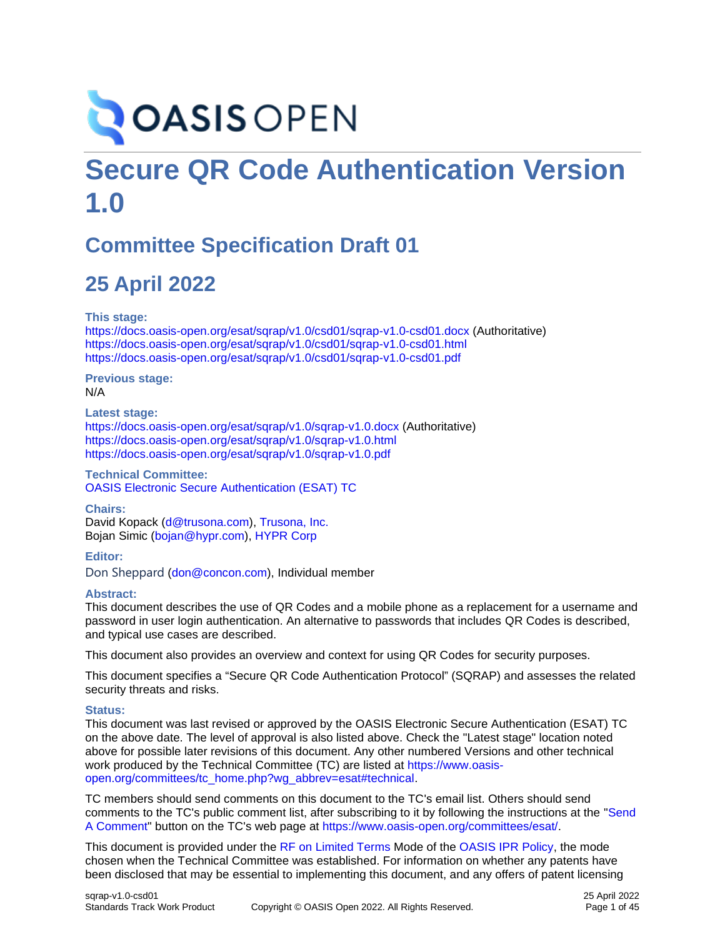# **OASIS OPEN**

# **Secure QR Code Authentication Version 1.0**

# **Committee Specification Draft 01**

# **25 April 2022**

**This stage:**

<https://docs.oasis-open.org/esat/sqrap/v1.0/csd01/sqrap-v1.0-csd01.docx> (Authoritative) <https://docs.oasis-open.org/esat/sqrap/v1.0/csd01/sqrap-v1.0-csd01.html> <https://docs.oasis-open.org/esat/sqrap/v1.0/csd01/sqrap-v1.0-csd01.pdf>

**Previous stage:** N/A

**Latest stage:** <https://docs.oasis-open.org/esat/sqrap/v1.0/sqrap-v1.0.docx> (Authoritative) <https://docs.oasis-open.org/esat/sqrap/v1.0/sqrap-v1.0.html> <https://docs.oasis-open.org/esat/sqrap/v1.0/sqrap-v1.0.pdf>

**Technical Committee:** [OASIS Electronic Secure Authentication \(ESAT\) TC](https://www.oasis-open.org/committees/esat/)

**Chairs:**

David Kopack [\(d@trusona.com\)](mailto:d@trusona.com), [Trusona, Inc.](https://www.trusona.com/) Bojan Simic [\(bojan@hypr.com\)](mailto:bojan@hypr.com), [HYPR Corp](https://www.hypr.com/)

**Editor:** Don Sheppard [\(don@concon.com\)](mailto:don@concon.com), Individual member

#### **Abstract:**

This document describes the use of QR Codes and a mobile phone as a replacement for a username and password in user login authentication. An alternative to passwords that includes QR Codes is described, and typical use cases are described.

This document also provides an overview and context for using QR Codes for security purposes.

This document specifies a "Secure QR Code Authentication Protocol" (SQRAP) and assesses the related security threats and risks.

#### **Status:**

This document was last revised or approved by the OASIS Electronic Secure Authentication (ESAT) TC on the above date. The level of approval is also listed above. Check the "Latest stage" location noted above for possible later revisions of this document. Any other numbered Versions and other technical work produced by the Technical Committee (TC) are listed at [https://www.oasis](https://www.oasis-open.org/committees/tc_home.php?wg_abbrev=esat#technical)[open.org/committees/tc\\_home.php?wg\\_abbrev=esat#technical.](https://www.oasis-open.org/committees/tc_home.php?wg_abbrev=esat#technical)

TC members should send comments on this document to the TC's email list. Others should send comments to the TC's public comment list, after subscribing to it by following the instructions at the ["Send](https://www.oasis-open.org/committees/comments/index.php?wg_abbrev=esat)  [A Comment"](https://www.oasis-open.org/committees/comments/index.php?wg_abbrev=esat) button on the TC's web page at [https://www.oasis-open.org/committees/esat/.](https://www.oasis-open.org/committees/esat/)

This document is provided under the [RF on Limited Terms](https://www.oasis-open.org/policies-guidelines/ipr/#RF-on-Limited-Mode) Mode of the [OASIS IPR Policy,](https://www.oasis-open.org/policies-guidelines/ipr/) the mode chosen when the Technical Committee was established. For information on whether any patents have been disclosed that may be essential to implementing this document, and any offers of patent licensing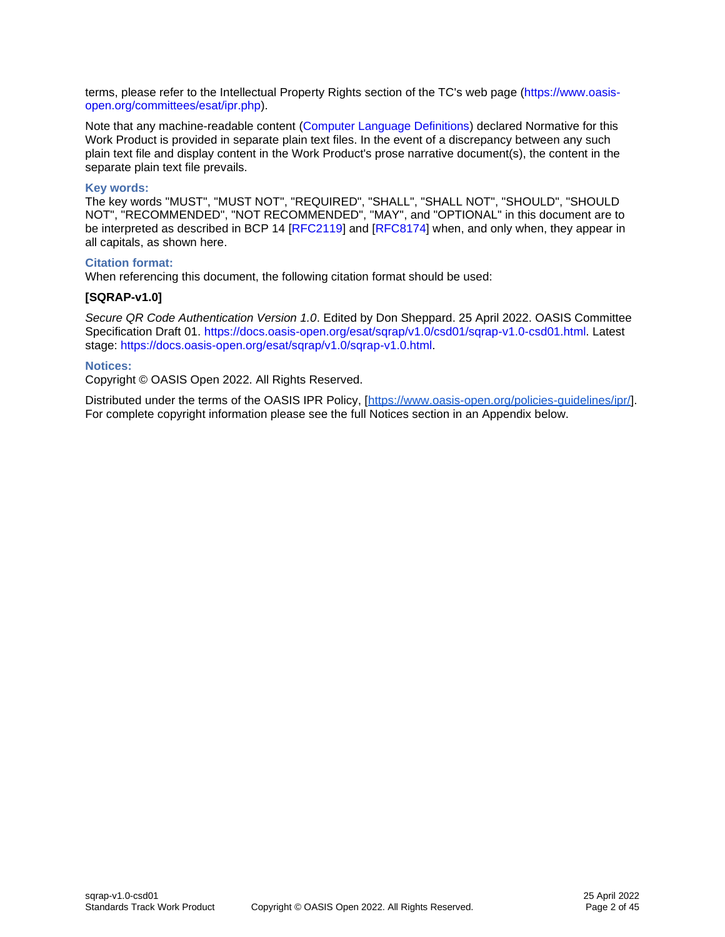terms, please refer to the Intellectual Property Rights section of the TC's web page [\(https://www.oasis](https://www.oasis-open.org/committees/esat/ipr.php)[open.org/committees/esat/ipr.php\)](https://www.oasis-open.org/committees/esat/ipr.php).

Note that any machine-readable content [\(Computer Language Definitions\)](https://www.oasis-open.org/policies-guidelines/tc-process-2017-05-26/#wpComponentsCompLang) declared Normative for this Work Product is provided in separate plain text files. In the event of a discrepancy between any such plain text file and display content in the Work Product's prose narrative document(s), the content in the separate plain text file prevails.

#### **Key words:**

The key words "MUST", "MUST NOT", "REQUIRED", "SHALL", "SHALL NOT", "SHOULD", "SHOULD NOT", "RECOMMENDED", "NOT RECOMMENDED", "MAY", and "OPTIONAL" in this document are to be interpreted as described in BCP 14 [RFC2119] and [RFC8174] when, and only when, they appear in all capitals, as shown here.

#### **Citation format:**

When referencing this document, the following citation format should be used:

#### **[SQRAP-v1.0]**

*Secure QR Code Authentication Version 1.0*. Edited by Don Sheppard. 25 April 2022. OASIS Committee Specification Draft 01. [https://docs.oasis-open.org/esat/sqrap/v1.0/csd01/sqrap-v1.0-csd01.html.](https://docs.oasis-open.org/esat/sqrap/v1.0/csd01/sqrap-v1.0-csd01.html) Latest stage: [https://docs.oasis-open.org/esat/sqrap/v1.0/sqrap-v1.0.html.](https://docs.oasis-open.org/esat/sqrap/v1.0/sqrap-v1.0.html)

#### **Notices:**

Copyright © OASIS Open 2022. All Rights Reserved.

Distributed under the terms of the OASIS IPR Policy, [\[https://www.oasis-open.org/policies-guidelines/ipr/\]](https://www.oasis-open.org/policies-guidelines/ipr/). For complete copyright information please see the full Notices section in an Appendix below.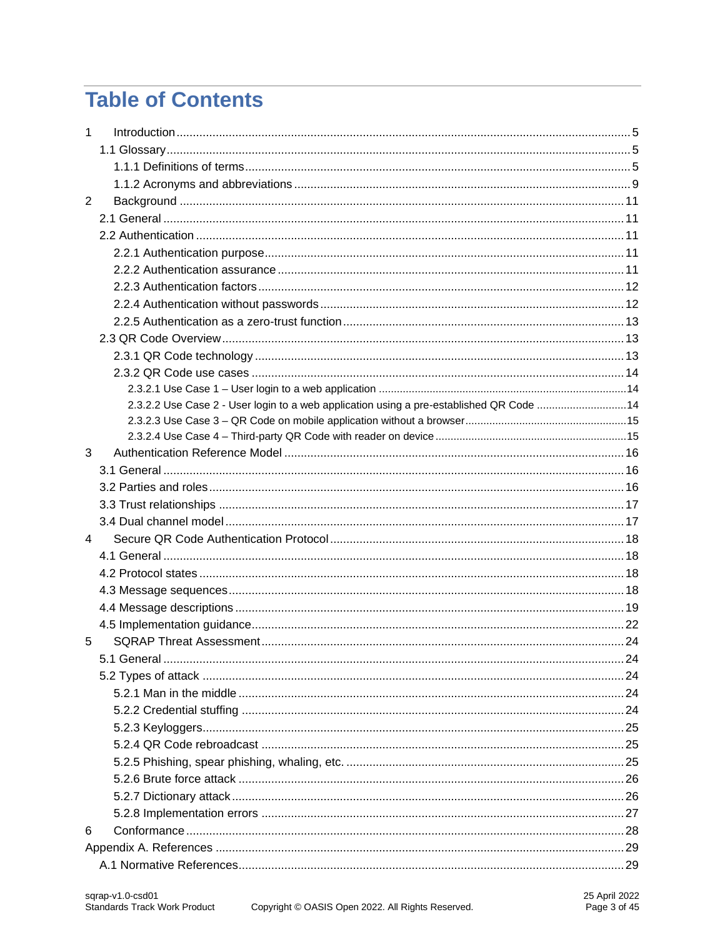# **Table of Contents**

| $\mathbf{1}$ |                                                                                         |  |
|--------------|-----------------------------------------------------------------------------------------|--|
|              |                                                                                         |  |
|              |                                                                                         |  |
|              |                                                                                         |  |
| 2            |                                                                                         |  |
|              |                                                                                         |  |
|              |                                                                                         |  |
|              |                                                                                         |  |
|              |                                                                                         |  |
|              |                                                                                         |  |
|              |                                                                                         |  |
|              |                                                                                         |  |
|              |                                                                                         |  |
|              |                                                                                         |  |
|              |                                                                                         |  |
|              |                                                                                         |  |
|              | 2.3.2.2 Use Case 2 - User login to a web application using a pre-established QR Code 14 |  |
|              |                                                                                         |  |
|              |                                                                                         |  |
| 3            |                                                                                         |  |
|              |                                                                                         |  |
|              |                                                                                         |  |
|              |                                                                                         |  |
|              |                                                                                         |  |
| 4            |                                                                                         |  |
|              |                                                                                         |  |
|              |                                                                                         |  |
|              |                                                                                         |  |
|              |                                                                                         |  |
|              |                                                                                         |  |
| 5            |                                                                                         |  |
|              |                                                                                         |  |
|              |                                                                                         |  |
|              |                                                                                         |  |
|              |                                                                                         |  |
|              |                                                                                         |  |
|              |                                                                                         |  |
|              |                                                                                         |  |
|              |                                                                                         |  |
|              |                                                                                         |  |
|              |                                                                                         |  |
| 6            |                                                                                         |  |
|              |                                                                                         |  |
|              |                                                                                         |  |
|              |                                                                                         |  |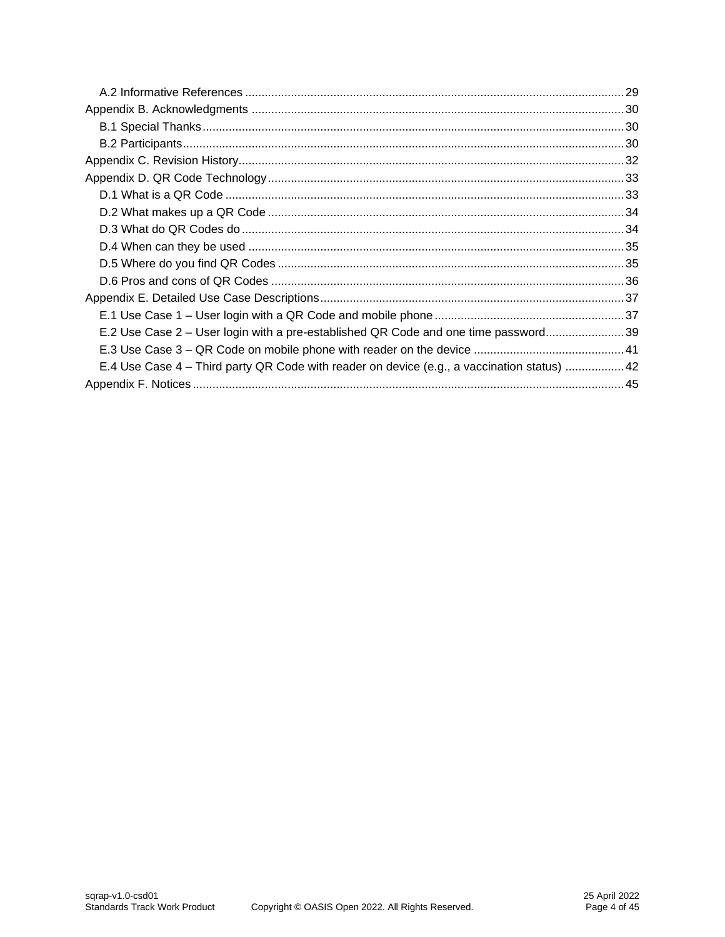| E.2 Use Case 2 – User login with a pre-established QR Code and one time password39         |
|--------------------------------------------------------------------------------------------|
|                                                                                            |
| E.4 Use Case 4 – Third party QR Code with reader on device (e.g., a vaccination status) 42 |
|                                                                                            |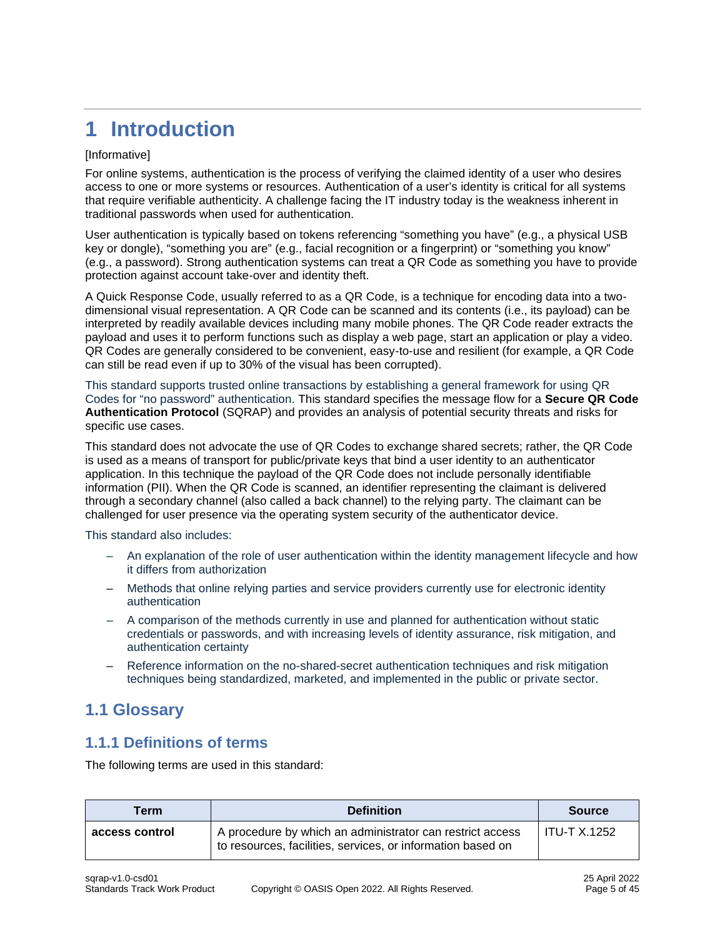# <span id="page-4-0"></span>**1 Introduction**

#### [Informative]

For online systems, authentication is the process of verifying the claimed identity of a user who desires access to one or more systems or resources. Authentication of a user's identity is critical for all systems that require verifiable authenticity. A challenge facing the IT industry today is the weakness inherent in traditional passwords when used for authentication.

User authentication is typically based on tokens referencing "something you have" (e.g., a physical USB key or dongle), "something you are" (e.g., facial recognition or a fingerprint) or "something you know" (e.g., a password). Strong authentication systems can treat a QR Code as something you have to provide protection against account take-over and identity theft.

A Quick Response Code, usually referred to as a QR Code, is a technique for encoding data into a twodimensional visual representation. A QR Code can be scanned and its contents (i.e., its payload) can be interpreted by readily available devices including many mobile phones. The QR Code reader extracts the payload and uses it to perform functions such as display a web page, start an application or play a video. QR Codes are generally considered to be convenient, easy-to-use and resilient (for example, a QR Code can still be read even if up to 30% of the visual has been corrupted).

This standard supports trusted online transactions by establishing a general framework for using QR Codes for "no password" authentication. This standard specifies the message flow for a **Secure QR Code Authentication Protocol** (SQRAP) and provides an analysis of potential security threats and risks for specific use cases.

This standard does not advocate the use of QR Codes to exchange shared secrets; rather, the QR Code is used as a means of transport for public/private keys that bind a user identity to an authenticator application. In this technique the payload of the QR Code does not include personally identifiable information (PII). When the QR Code is scanned, an identifier representing the claimant is delivered through a secondary channel (also called a back channel) to the relying party. The claimant can be challenged for user presence via the operating system security of the authenticator device.

This standard also includes:

- An explanation of the role of user authentication within the identity management lifecycle and how it differs from authorization
- Methods that online relying parties and service providers currently use for electronic identity authentication
- A comparison of the methods currently in use and planned for authentication without static credentials or passwords, and with increasing levels of identity assurance, risk mitigation, and authentication certainty
- Reference information on the no-shared-secret authentication techniques and risk mitigation techniques being standardized, marketed, and implemented in the public or private sector.

# <span id="page-4-1"></span>**1.1 Glossary**

### <span id="page-4-2"></span>**1.1.1 Definitions of terms**

The following terms are used in this standard:

| <b>Term</b>    | <b>Definition</b>                                                                                                        | <b>Source</b>       |
|----------------|--------------------------------------------------------------------------------------------------------------------------|---------------------|
| access control | A procedure by which an administrator can restrict access<br>to resources, facilities, services, or information based on | <b>ITU-T X.1252</b> |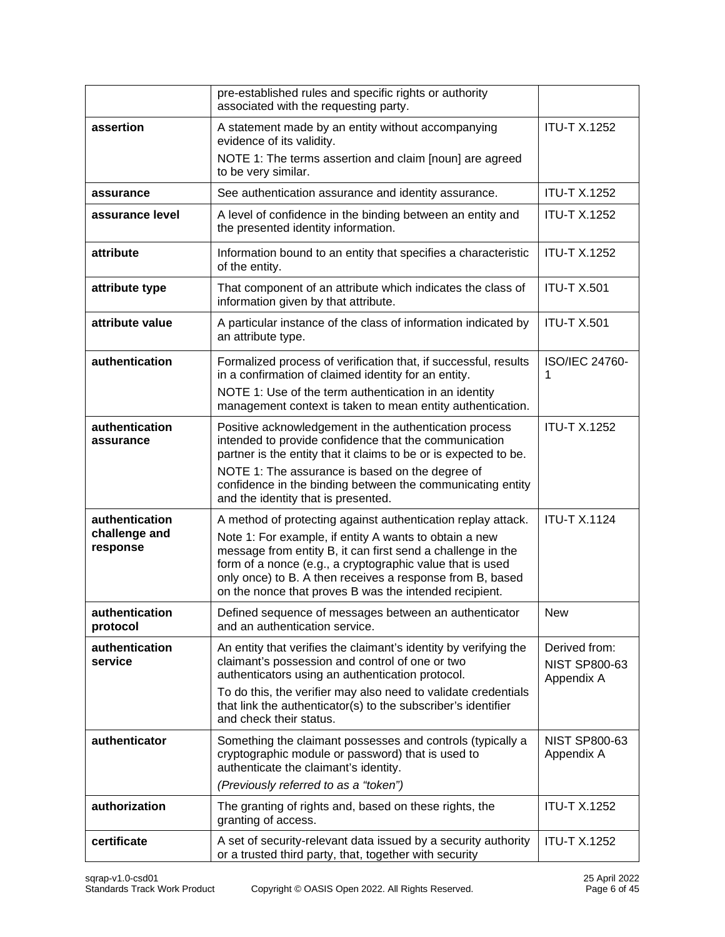|                                             | pre-established rules and specific rights or authority<br>associated with the requesting party.                                                                                                                                                                                                                                                                           |                                                     |
|---------------------------------------------|---------------------------------------------------------------------------------------------------------------------------------------------------------------------------------------------------------------------------------------------------------------------------------------------------------------------------------------------------------------------------|-----------------------------------------------------|
| assertion                                   | A statement made by an entity without accompanying<br>evidence of its validity.<br>NOTE 1: The terms assertion and claim [noun] are agreed<br>to be very similar.                                                                                                                                                                                                         | <b>ITU-T X.1252</b>                                 |
| assurance                                   | See authentication assurance and identity assurance.                                                                                                                                                                                                                                                                                                                      | <b>ITU-T X.1252</b>                                 |
| assurance level                             | A level of confidence in the binding between an entity and<br>the presented identity information.                                                                                                                                                                                                                                                                         | <b>ITU-T X.1252</b>                                 |
| attribute                                   | Information bound to an entity that specifies a characteristic<br>of the entity.                                                                                                                                                                                                                                                                                          | <b>ITU-T X.1252</b>                                 |
| attribute type                              | That component of an attribute which indicates the class of<br>information given by that attribute.                                                                                                                                                                                                                                                                       | <b>ITU-T X.501</b>                                  |
| attribute value                             | A particular instance of the class of information indicated by<br>an attribute type.                                                                                                                                                                                                                                                                                      | <b>ITU-T X.501</b>                                  |
| authentication                              | Formalized process of verification that, if successful, results<br>in a confirmation of claimed identity for an entity.<br>NOTE 1: Use of the term authentication in an identity<br>management context is taken to mean entity authentication.                                                                                                                            | ISO/IEC 24760-<br>1                                 |
| authentication<br>assurance                 | Positive acknowledgement in the authentication process<br>intended to provide confidence that the communication<br>partner is the entity that it claims to be or is expected to be.<br>NOTE 1: The assurance is based on the degree of<br>confidence in the binding between the communicating entity<br>and the identity that is presented.                               | <b>ITU-T X.1252</b>                                 |
| authentication<br>challenge and<br>response | A method of protecting against authentication replay attack.<br>Note 1: For example, if entity A wants to obtain a new<br>message from entity B, it can first send a challenge in the<br>form of a nonce (e.g., a cryptographic value that is used<br>only once) to B. A then receives a response from B, based<br>on the nonce that proves B was the intended recipient. | <b>ITU-T X.1124</b>                                 |
| authentication<br>protocol                  | Defined sequence of messages between an authenticator<br>and an authentication service.                                                                                                                                                                                                                                                                                   | New                                                 |
| authentication<br>service                   | An entity that verifies the claimant's identity by verifying the<br>claimant's possession and control of one or two<br>authenticators using an authentication protocol.<br>To do this, the verifier may also need to validate credentials<br>that link the authenticator(s) to the subscriber's identifier<br>and check their status.                                     | Derived from:<br><b>NIST SP800-63</b><br>Appendix A |
| authenticator                               | Something the claimant possesses and controls (typically a<br>cryptographic module or password) that is used to<br>authenticate the claimant's identity.<br>(Previously referred to as a "token")                                                                                                                                                                         | <b>NIST SP800-63</b><br>Appendix A                  |
| authorization                               | The granting of rights and, based on these rights, the<br>granting of access.                                                                                                                                                                                                                                                                                             | <b>ITU-T X.1252</b>                                 |
| certificate                                 | A set of security-relevant data issued by a security authority<br>or a trusted third party, that, together with security                                                                                                                                                                                                                                                  | <b>ITU-T X.1252</b>                                 |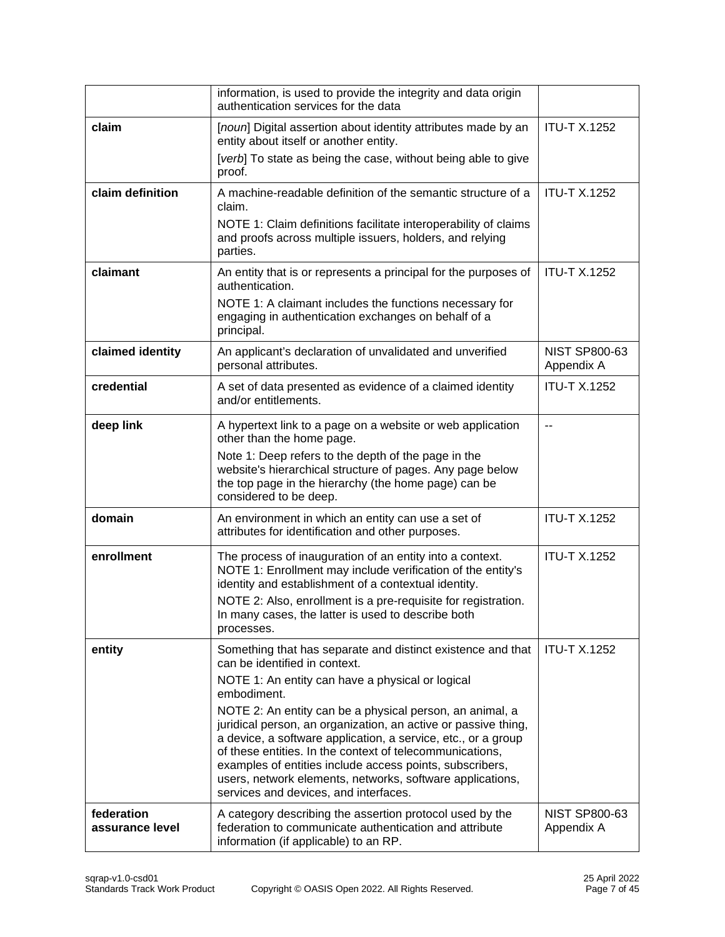|                               | information, is used to provide the integrity and data origin<br>authentication services for the data                                                                                                                                                                                                                                                                                                                                                                                                                                                                                        |                                    |
|-------------------------------|----------------------------------------------------------------------------------------------------------------------------------------------------------------------------------------------------------------------------------------------------------------------------------------------------------------------------------------------------------------------------------------------------------------------------------------------------------------------------------------------------------------------------------------------------------------------------------------------|------------------------------------|
| claim                         | [noun] Digital assertion about identity attributes made by an<br>entity about itself or another entity.<br>[verb] To state as being the case, without being able to give<br>proof.                                                                                                                                                                                                                                                                                                                                                                                                           | <b>ITU-T X.1252</b>                |
| claim definition              | A machine-readable definition of the semantic structure of a<br>claim.<br>NOTE 1: Claim definitions facilitate interoperability of claims<br>and proofs across multiple issuers, holders, and relying<br>parties.                                                                                                                                                                                                                                                                                                                                                                            | <b>ITU-T X.1252</b>                |
| claimant                      | An entity that is or represents a principal for the purposes of<br>authentication.<br>NOTE 1: A claimant includes the functions necessary for<br>engaging in authentication exchanges on behalf of a<br>principal.                                                                                                                                                                                                                                                                                                                                                                           | <b>ITU-T X.1252</b>                |
| claimed identity              | An applicant's declaration of unvalidated and unverified<br>personal attributes.                                                                                                                                                                                                                                                                                                                                                                                                                                                                                                             | <b>NIST SP800-63</b><br>Appendix A |
| credential                    | A set of data presented as evidence of a claimed identity<br>and/or entitlements.                                                                                                                                                                                                                                                                                                                                                                                                                                                                                                            | <b>ITU-T X.1252</b>                |
| deep link                     | A hypertext link to a page on a website or web application<br>other than the home page.<br>Note 1: Deep refers to the depth of the page in the<br>website's hierarchical structure of pages. Any page below<br>the top page in the hierarchy (the home page) can be<br>considered to be deep.                                                                                                                                                                                                                                                                                                | --                                 |
| domain                        | An environment in which an entity can use a set of<br>attributes for identification and other purposes.                                                                                                                                                                                                                                                                                                                                                                                                                                                                                      | <b>ITU-T X.1252</b>                |
| enrollment                    | The process of inauguration of an entity into a context.<br>NOTE 1: Enrollment may include verification of the entity's<br>identity and establishment of a contextual identity.<br>NOTE 2: Also, enrollment is a pre-requisite for registration.<br>In many cases, the latter is used to describe both<br>processes.                                                                                                                                                                                                                                                                         | <b>ITU-T X.1252</b>                |
| entity                        | Something that has separate and distinct existence and that<br>can be identified in context.<br>NOTE 1: An entity can have a physical or logical<br>embodiment.<br>NOTE 2: An entity can be a physical person, an animal, a<br>juridical person, an organization, an active or passive thing,<br>a device, a software application, a service, etc., or a group<br>of these entities. In the context of telecommunications,<br>examples of entities include access points, subscribers,<br>users, network elements, networks, software applications,<br>services and devices, and interfaces. | <b>ITU-T X.1252</b>                |
| federation<br>assurance level | A category describing the assertion protocol used by the<br>federation to communicate authentication and attribute<br>information (if applicable) to an RP.                                                                                                                                                                                                                                                                                                                                                                                                                                  | <b>NIST SP800-63</b><br>Appendix A |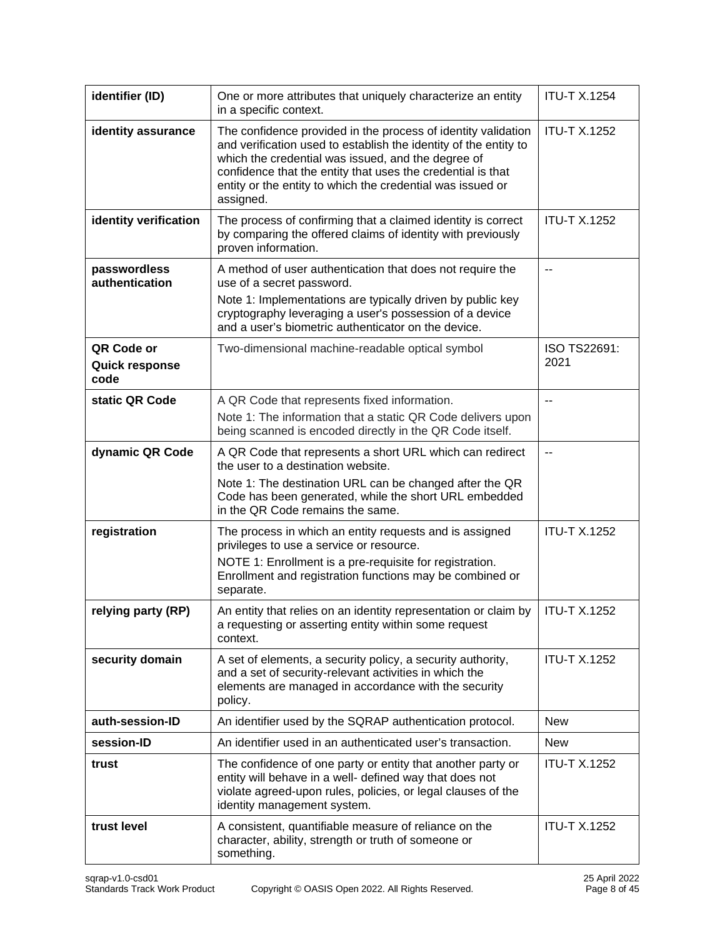| identifier (ID)                      | One or more attributes that uniquely characterize an entity<br>in a specific context.                                                                                                                                                                                                                                             | <b>ITU-T X.1254</b>  |
|--------------------------------------|-----------------------------------------------------------------------------------------------------------------------------------------------------------------------------------------------------------------------------------------------------------------------------------------------------------------------------------|----------------------|
| identity assurance                   | The confidence provided in the process of identity validation<br>and verification used to establish the identity of the entity to<br>which the credential was issued, and the degree of<br>confidence that the entity that uses the credential is that<br>entity or the entity to which the credential was issued or<br>assigned. | <b>ITU-T X.1252</b>  |
| identity verification                | The process of confirming that a claimed identity is correct<br>by comparing the offered claims of identity with previously<br>proven information.                                                                                                                                                                                | <b>ITU-T X.1252</b>  |
| passwordless<br>authentication       | A method of user authentication that does not require the<br>use of a secret password.                                                                                                                                                                                                                                            | --                   |
|                                      | Note 1: Implementations are typically driven by public key<br>cryptography leveraging a user's possession of a device<br>and a user's biometric authenticator on the device.                                                                                                                                                      |                      |
| QR Code or<br>Quick response<br>code | Two-dimensional machine-readable optical symbol                                                                                                                                                                                                                                                                                   | ISO TS22691:<br>2021 |
| static QR Code                       | A QR Code that represents fixed information.<br>Note 1: The information that a static QR Code delivers upon<br>being scanned is encoded directly in the QR Code itself.                                                                                                                                                           | $-$                  |
| dynamic QR Code                      | A QR Code that represents a short URL which can redirect<br>the user to a destination website.<br>Note 1: The destination URL can be changed after the QR<br>Code has been generated, while the short URL embedded<br>in the QR Code remains the same.                                                                            | --                   |
| registration                         | The process in which an entity requests and is assigned<br>privileges to use a service or resource.<br>NOTE 1: Enrollment is a pre-requisite for registration.<br>Enrollment and registration functions may be combined or<br>separate.                                                                                           | <b>ITU-T X.1252</b>  |
| relying party (RP)                   | An entity that relies on an identity representation or claim by<br>a requesting or asserting entity within some request<br>context.                                                                                                                                                                                               | <b>ITU-T X.1252</b>  |
| security domain                      | A set of elements, a security policy, a security authority,<br>and a set of security-relevant activities in which the<br>elements are managed in accordance with the security<br>policy.                                                                                                                                          | <b>ITU-T X.1252</b>  |
| auth-session-ID                      | An identifier used by the SQRAP authentication protocol.                                                                                                                                                                                                                                                                          | <b>New</b>           |
| session-ID                           | An identifier used in an authenticated user's transaction.                                                                                                                                                                                                                                                                        | <b>New</b>           |
| trust                                | The confidence of one party or entity that another party or<br>entity will behave in a well- defined way that does not<br>violate agreed-upon rules, policies, or legal clauses of the<br>identity management system.                                                                                                             | <b>ITU-T X.1252</b>  |
| trust level                          | A consistent, quantifiable measure of reliance on the<br>character, ability, strength or truth of someone or<br>something.                                                                                                                                                                                                        | <b>ITU-T X.1252</b>  |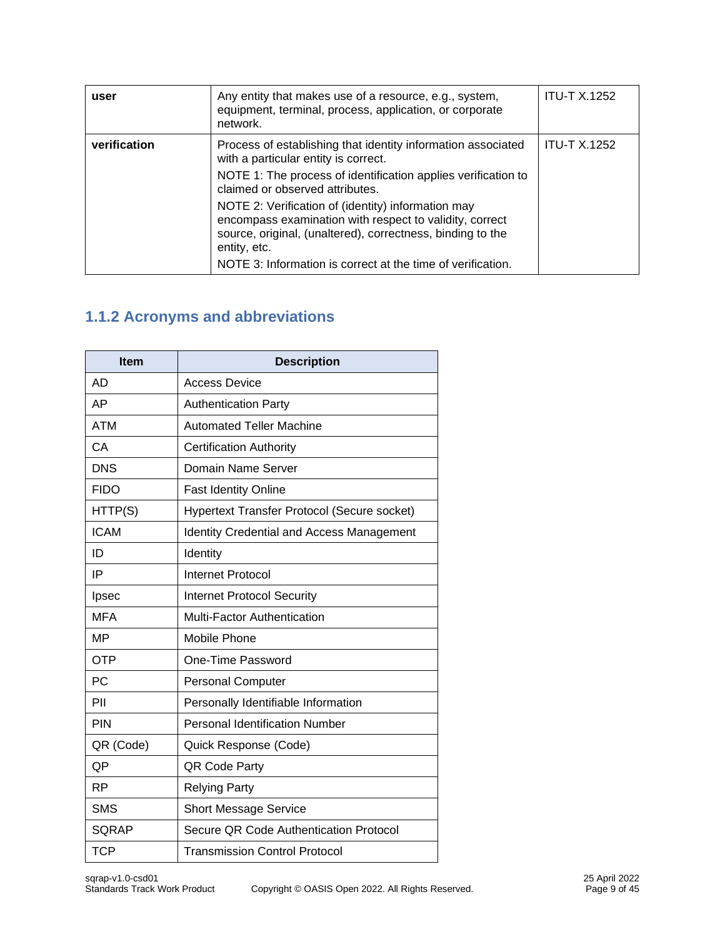| user         | Any entity that makes use of a resource, e.g., system,<br>equipment, terminal, process, application, or corporate<br>network.                                                                                                                              | <b>ITU-T X.1252</b> |
|--------------|------------------------------------------------------------------------------------------------------------------------------------------------------------------------------------------------------------------------------------------------------------|---------------------|
| verification | Process of establishing that identity information associated<br>with a particular entity is correct.<br>NOTE 1: The process of identification applies verification to<br>claimed or observed attributes.                                                   | <b>ITU-T X.1252</b> |
|              | NOTE 2: Verification of (identity) information may<br>encompass examination with respect to validity, correct<br>source, original, (unaltered), correctness, binding to the<br>entity, etc.<br>NOTE 3: Information is correct at the time of verification. |                     |

# <span id="page-8-0"></span>**1.1.2 Acronyms and abbreviations**

| Item         | <b>Description</b>                               |
|--------------|--------------------------------------------------|
| <b>AD</b>    | <b>Access Device</b>                             |
| AP           | <b>Authentication Party</b>                      |
| <b>ATM</b>   | <b>Automated Teller Machine</b>                  |
| CA           | <b>Certification Authority</b>                   |
| <b>DNS</b>   | Domain Name Server                               |
| <b>FIDO</b>  | Fast Identity Online                             |
| HTTP(S)      | Hypertext Transfer Protocol (Secure socket)      |
| <b>ICAM</b>  | <b>Identity Credential and Access Management</b> |
| ID           | Identity                                         |
| IP           | <b>Internet Protocol</b>                         |
| Ipsec        | <b>Internet Protocol Security</b>                |
| <b>MFA</b>   | Multi-Factor Authentication                      |
| <b>MP</b>    | Mobile Phone                                     |
| <b>OTP</b>   | One-Time Password                                |
| <b>PC</b>    | <b>Personal Computer</b>                         |
| PII          | Personally Identifiable Information              |
| PIN          | <b>Personal Identification Number</b>            |
| QR (Code)    | Quick Response (Code)                            |
| QP           | QR Code Party                                    |
| <b>RP</b>    | <b>Relying Party</b>                             |
| <b>SMS</b>   | <b>Short Message Service</b>                     |
| <b>SQRAP</b> | Secure QR Code Authentication Protocol           |
| <b>TCP</b>   | <b>Transmission Control Protocol</b>             |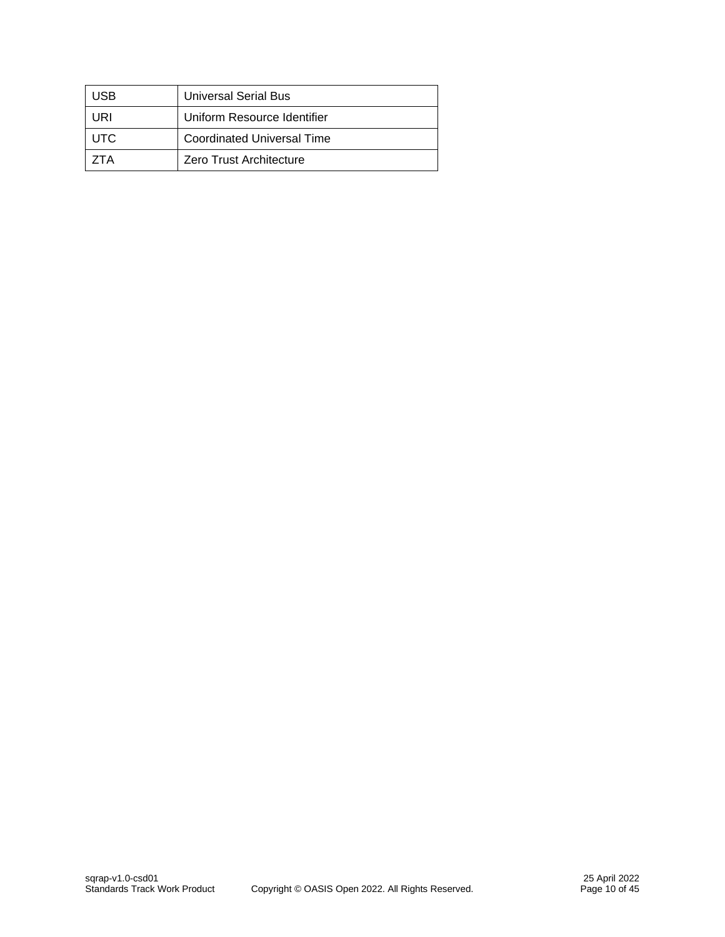| JSB  | <b>Universal Serial Bus</b>       |
|------|-----------------------------------|
| JRI  | Uniform Resource Identifier       |
| UTC. | <b>Coordinated Universal Time</b> |
| TΑ   | Zero Trust Architecture           |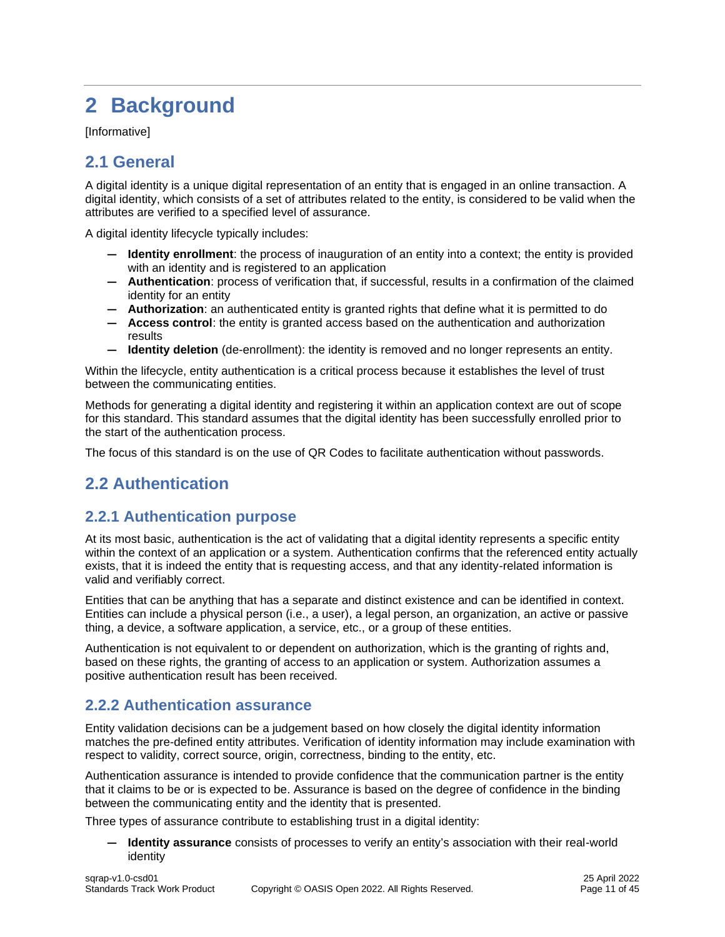# <span id="page-10-0"></span>**2 Background**

[Informative]

# <span id="page-10-1"></span>**2.1 General**

A digital identity is a unique digital representation of an entity that is engaged in an online transaction. A digital identity, which consists of a set of attributes related to the entity, is considered to be valid when the attributes are verified to a specified level of assurance.

A digital identity lifecycle typically includes:

- **— Identity enrollment**: the process of inauguration of an entity into a context; the entity is provided with an identity and is registered to an application
- **— Authentication**: process of verification that, if successful, results in a confirmation of the claimed identity for an entity
- **— Authorization**: an authenticated entity is granted rights that define what it is permitted to do
- **— Access control**: the entity is granted access based on the authentication and authorization results
- **— Identity deletion** (de-enrollment): the identity is removed and no longer represents an entity.

Within the lifecycle, entity authentication is a critical process because it establishes the level of trust between the communicating entities.

Methods for generating a digital identity and registering it within an application context are out of scope for this standard. This standard assumes that the digital identity has been successfully enrolled prior to the start of the authentication process.

The focus of this standard is on the use of QR Codes to facilitate authentication without passwords.

# <span id="page-10-2"></span>**2.2 Authentication**

### <span id="page-10-3"></span>**2.2.1 Authentication purpose**

At its most basic, authentication is the act of validating that a digital identity represents a specific entity within the context of an application or a system. Authentication confirms that the referenced entity actually exists, that it is indeed the entity that is requesting access, and that any identity-related information is valid and verifiably correct.

Entities that can be anything that has a separate and distinct existence and can be identified in context. Entities can include a physical person (i.e., a user), a legal person, an organization, an active or passive thing, a device, a software application, a service, etc., or a group of these entities.

Authentication is not equivalent to or dependent on authorization, which is the granting of rights and, based on these rights, the granting of access to an application or system. Authorization assumes a positive authentication result has been received.

### <span id="page-10-4"></span>**2.2.2 Authentication assurance**

Entity validation decisions can be a judgement based on how closely the digital identity information matches the pre-defined entity attributes. Verification of identity information may include examination with respect to validity, correct source, origin, correctness, binding to the entity, etc.

Authentication assurance is intended to provide confidence that the communication partner is the entity that it claims to be or is expected to be. Assurance is based on the degree of confidence in the binding between the communicating entity and the identity that is presented.

Three types of assurance contribute to establishing trust in a digital identity:

**— Identity assurance** consists of processes to verify an entity's association with their real-world identity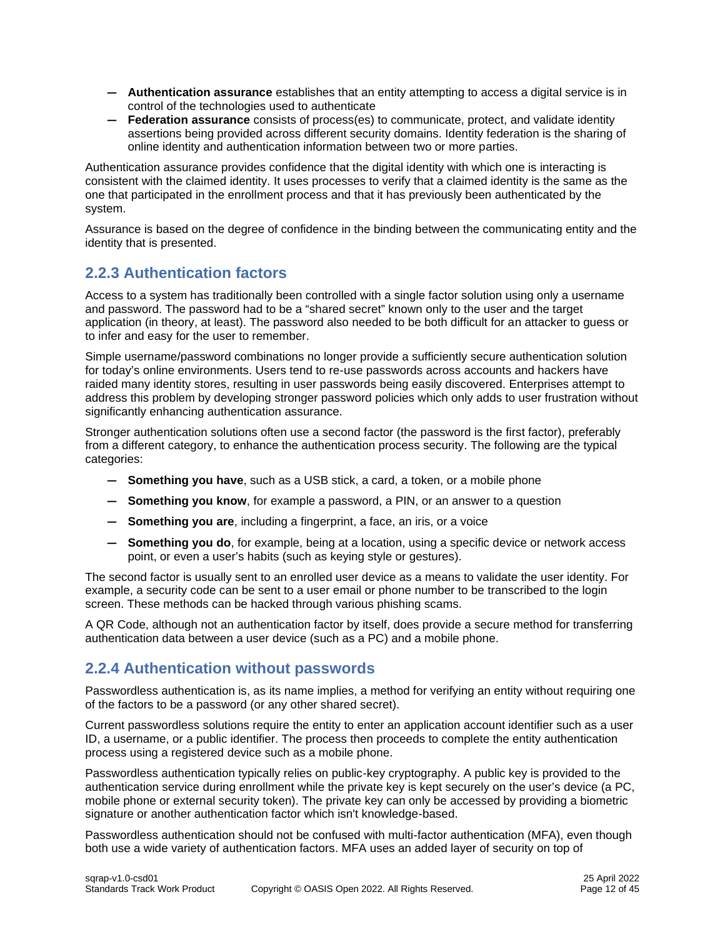- **— Authentication assurance** establishes that an entity attempting to access a digital service is in control of the technologies used to authenticate
- **— Federation assurance** consists of process(es) to communicate, protect, and validate identity assertions being provided across different security domains. Identity federation is the sharing of online identity and authentication information between two or more parties.

Authentication assurance provides confidence that the digital identity with which one is interacting is consistent with the claimed identity. It uses processes to verify that a claimed identity is the same as the one that participated in the enrollment process and that it has previously been authenticated by the system.

Assurance is based on the degree of confidence in the binding between the communicating entity and the identity that is presented.

# <span id="page-11-0"></span>**2.2.3 Authentication factors**

Access to a system has traditionally been controlled with a single factor solution using only a username and password. The password had to be a "shared secret" known only to the user and the target application (in theory, at least). The password also needed to be both difficult for an attacker to guess or to infer and easy for the user to remember.

Simple username/password combinations no longer provide a sufficiently secure authentication solution for today's online environments. Users tend to re-use passwords across accounts and hackers have raided many identity stores, resulting in user passwords being easily discovered. Enterprises attempt to address this problem by developing stronger password policies which only adds to user frustration without significantly enhancing authentication assurance.

Stronger authentication solutions often use a second factor (the password is the first factor), preferably from a different category, to enhance the authentication process security. The following are the typical categories:

- **— Something you have**, such as a USB stick, a card, a token, or a mobile phone
- **— Something you know**, for example a password, a PIN, or an answer to a question
- **— Something you are**, including a fingerprint, a face, an iris, or a voice
- **— Something you do**, for example, being at a location, using a specific device or network access point, or even a user's habits (such as keying style or gestures).

The second factor is usually sent to an enrolled user device as a means to validate the user identity. For example, a security code can be sent to a user email or phone number to be transcribed to the login screen. These methods can be hacked through various phishing scams.

A QR Code, although not an authentication factor by itself, does provide a secure method for transferring authentication data between a user device (such as a PC) and a mobile phone.

### <span id="page-11-1"></span>**2.2.4 Authentication without passwords**

Passwordless authentication is, as its name implies, a method for verifying an entity without requiring one of the factors to be a password (or any other shared secret).

Current passwordless solutions require the entity to enter an application account identifier such as a user ID, a username, or a public identifier. The process then proceeds to complete the entity authentication process using a registered device such as a mobile phone.

Passwordless authentication typically relies on public-key cryptography. A public key is provided to the authentication service during enrollment while the private key is kept securely on the user's device (a PC, mobile phone or external security token). The private key can only be accessed by providing a biometric signature or another authentication factor which isn't knowledge-based.

Passwordless authentication should not be confused with multi-factor authentication (MFA), even though both use a wide variety of authentication factors. MFA uses an added layer of security on top of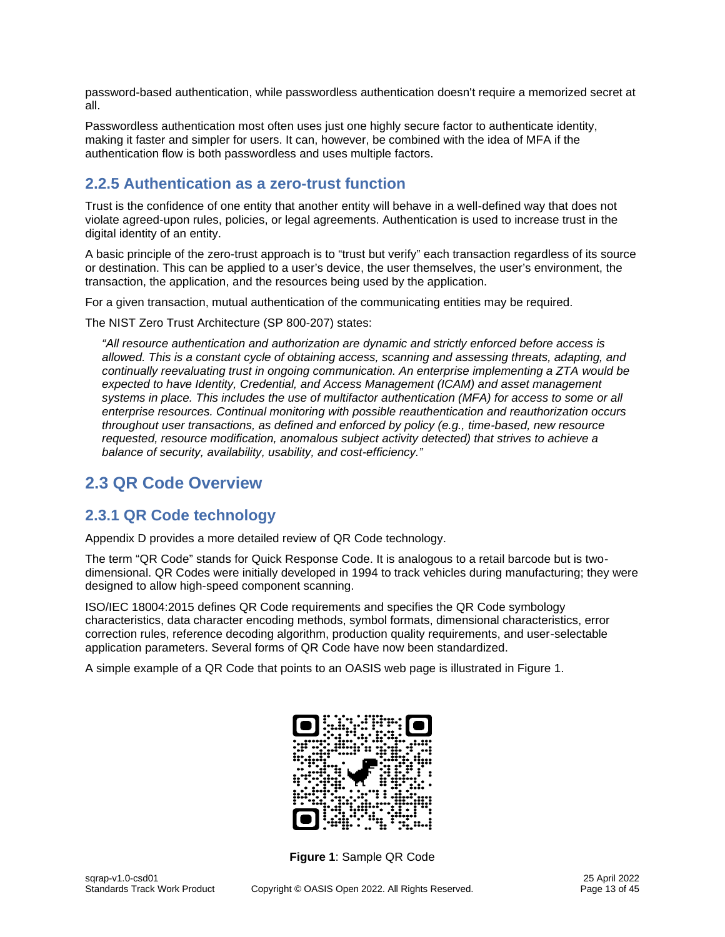password-based authentication, while passwordless authentication doesn't require a memorized secret at all.

Passwordless authentication most often uses just one highly secure factor to authenticate identity, making it faster and simpler for users. It can, however, be combined with the idea of MFA if the authentication flow is both passwordless and uses multiple factors.

# <span id="page-12-0"></span>**2.2.5 Authentication as a zero-trust function**

Trust is the confidence of one entity that another entity will behave in a well-defined way that does not violate agreed-upon rules, policies, or legal agreements. Authentication is used to increase trust in the digital identity of an entity.

A basic principle of the zero-trust approach is to "trust but verify" each transaction regardless of its source or destination. This can be applied to a user's device, the user themselves, the user's environment, the transaction, the application, and the resources being used by the application.

For a given transaction, mutual authentication of the communicating entities may be required.

The NIST Zero Trust Architecture (SP 800-207) states:

*"All resource authentication and authorization are dynamic and strictly enforced before access is allowed. This is a constant cycle of obtaining access, scanning and assessing threats, adapting, and continually reevaluating trust in ongoing communication. An enterprise implementing a ZTA would be expected to have Identity, Credential, and Access Management (ICAM) and asset management systems in place. This includes the use of multifactor authentication (MFA) for access to some or all enterprise resources. Continual monitoring with possible reauthentication and reauthorization occurs throughout user transactions, as defined and enforced by policy (e.g., time-based, new resource requested, resource modification, anomalous subject activity detected) that strives to achieve a balance of security, availability, usability, and cost-efficiency."*

# <span id="page-12-1"></span>**2.3 QR Code Overview**

### <span id="page-12-2"></span>**2.3.1 QR Code technology**

Appendix D provides a more detailed review of QR Code technology.

The term "QR Code" stands for Quick Response Code. It is analogous to a retail barcode but is twodimensional. QR Codes were initially developed in 1994 to track vehicles during manufacturing; they were designed to allow high-speed component scanning.

ISO/IEC 18004:2015 defines QR Code requirements and specifies the QR Code symbology characteristics, data character encoding methods, symbol formats, dimensional characteristics, error correction rules, reference decoding algorithm, production quality requirements, and user-selectable application parameters. Several forms of QR Code have now been standardized.

A simple example of a QR Code that points to an OASIS web page is illustrated in Figure 1.



**Figure 1**: Sample QR Code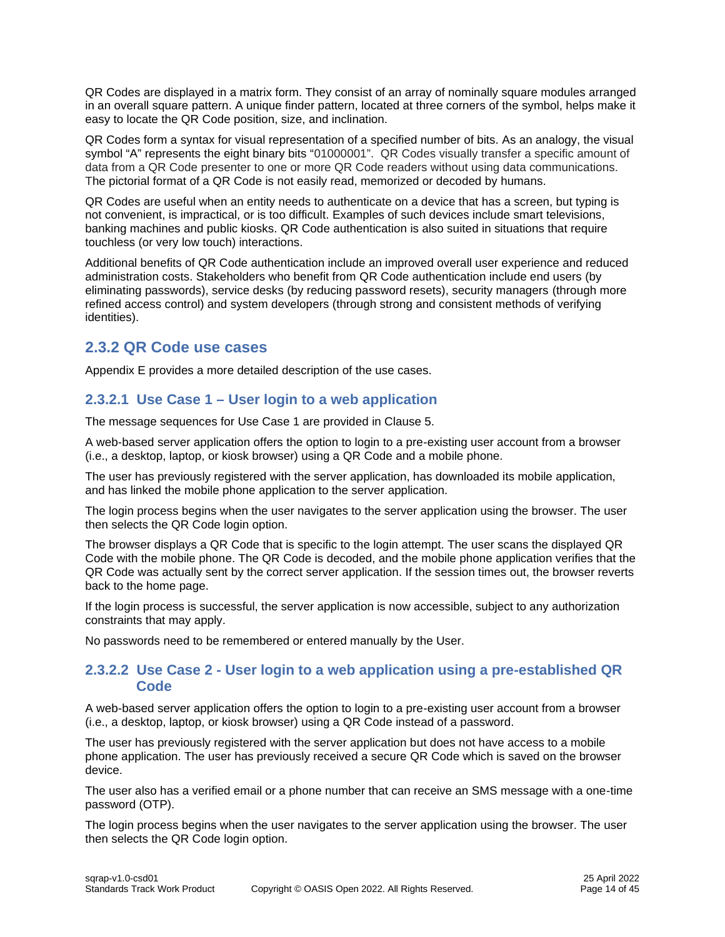QR Codes are displayed in a matrix form. They consist of an array of nominally square modules arranged in an overall square pattern. A unique finder pattern, located at three corners of the symbol, helps make it easy to locate the QR Code position, size, and inclination.

QR Codes form a syntax for visual representation of a specified number of bits. As an analogy, the visual symbol "A" represents the eight binary bits "01000001". QR Codes visually transfer a specific amount of data from a QR Code presenter to one or more QR Code readers without using data communications. The pictorial format of a QR Code is not easily read, memorized or decoded by humans.

QR Codes are useful when an entity needs to authenticate on a device that has a screen, but typing is not convenient, is impractical, or is too difficult. Examples of such devices include smart televisions, banking machines and public kiosks. QR Code authentication is also suited in situations that require touchless (or very low touch) interactions.

Additional benefits of QR Code authentication include an improved overall user experience and reduced administration costs. Stakeholders who benefit from QR Code authentication include end users (by eliminating passwords), service desks (by reducing password resets), security managers (through more refined access control) and system developers (through strong and consistent methods of verifying identities).

### <span id="page-13-0"></span>**2.3.2 QR Code use cases**

Appendix E provides a more detailed description of the use cases.

### <span id="page-13-1"></span>**2.3.2.1 Use Case 1 – User login to a web application**

The message sequences for Use Case 1 are provided in Clause 5.

A web-based server application offers the option to login to a pre-existing user account from a browser (i.e., a desktop, laptop, or kiosk browser) using a QR Code and a mobile phone.

The user has previously registered with the server application, has downloaded its mobile application, and has linked the mobile phone application to the server application.

The login process begins when the user navigates to the server application using the browser. The user then selects the QR Code login option.

The browser displays a QR Code that is specific to the login attempt. The user scans the displayed QR Code with the mobile phone. The QR Code is decoded, and the mobile phone application verifies that the QR Code was actually sent by the correct server application. If the session times out, the browser reverts back to the home page.

If the login process is successful, the server application is now accessible, subject to any authorization constraints that may apply.

No passwords need to be remembered or entered manually by the User.

#### <span id="page-13-2"></span>**2.3.2.2 Use Case 2 - User login to a web application using a pre-established QR Code**

A web-based server application offers the option to login to a pre-existing user account from a browser (i.e., a desktop, laptop, or kiosk browser) using a QR Code instead of a password.

The user has previously registered with the server application but does not have access to a mobile phone application. The user has previously received a secure QR Code which is saved on the browser device.

The user also has a verified email or a phone number that can receive an SMS message with a one-time password (OTP).

The login process begins when the user navigates to the server application using the browser. The user then selects the QR Code login option.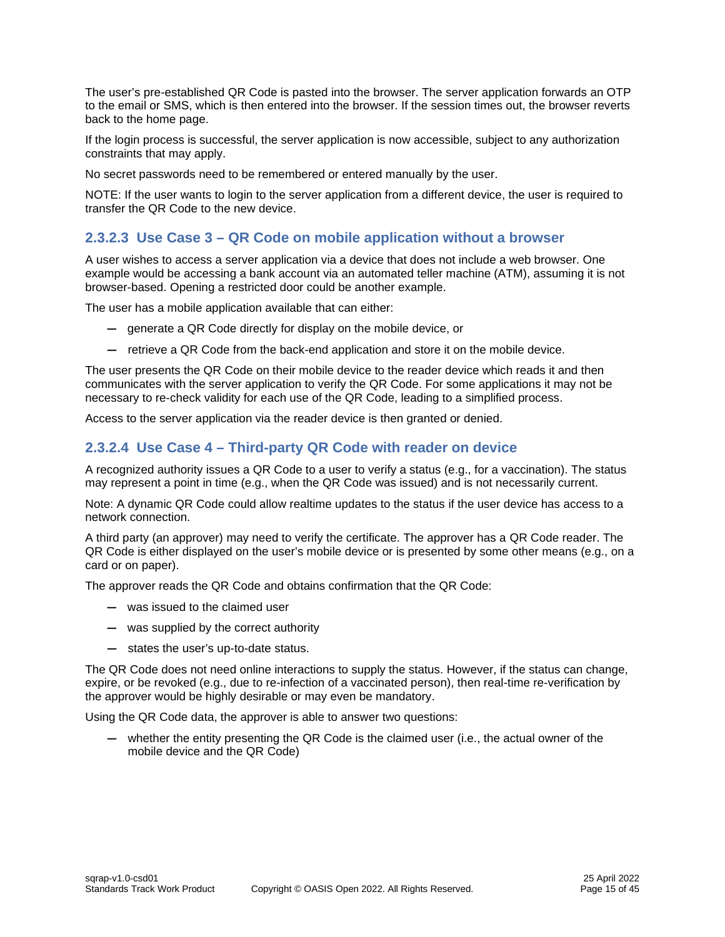The user's pre-established QR Code is pasted into the browser. The server application forwards an OTP to the email or SMS, which is then entered into the browser. If the session times out, the browser reverts back to the home page.

If the login process is successful, the server application is now accessible, subject to any authorization constraints that may apply.

No secret passwords need to be remembered or entered manually by the user.

NOTE: If the user wants to login to the server application from a different device, the user is required to transfer the QR Code to the new device.

#### <span id="page-14-0"></span>**2.3.2.3 Use Case 3 – QR Code on mobile application without a browser**

A user wishes to access a server application via a device that does not include a web browser. One example would be accessing a bank account via an automated teller machine (ATM), assuming it is not browser-based. Opening a restricted door could be another example.

The user has a mobile application available that can either:

- **—** generate a QR Code directly for display on the mobile device, or
- **—** retrieve a QR Code from the back-end application and store it on the mobile device.

The user presents the QR Code on their mobile device to the reader device which reads it and then communicates with the server application to verify the QR Code. For some applications it may not be necessary to re-check validity for each use of the QR Code, leading to a simplified process.

Access to the server application via the reader device is then granted or denied.

#### <span id="page-14-1"></span>**2.3.2.4 Use Case 4 – Third-party QR Code with reader on device**

A recognized authority issues a QR Code to a user to verify a status (e.g., for a vaccination). The status may represent a point in time (e.g., when the QR Code was issued) and is not necessarily current.

Note: A dynamic QR Code could allow realtime updates to the status if the user device has access to a network connection.

A third party (an approver) may need to verify the certificate. The approver has a QR Code reader. The QR Code is either displayed on the user's mobile device or is presented by some other means (e.g., on a card or on paper).

The approver reads the QR Code and obtains confirmation that the QR Code:

- **—** was issued to the claimed user
- **—** was supplied by the correct authority
- **—** states the user's up-to-date status.

The QR Code does not need online interactions to supply the status. However, if the status can change, expire, or be revoked (e.g., due to re-infection of a vaccinated person), then real-time re-verification by the approver would be highly desirable or may even be mandatory.

Using the QR Code data, the approver is able to answer two questions:

**—** whether the entity presenting the QR Code is the claimed user (i.e., the actual owner of the mobile device and the QR Code)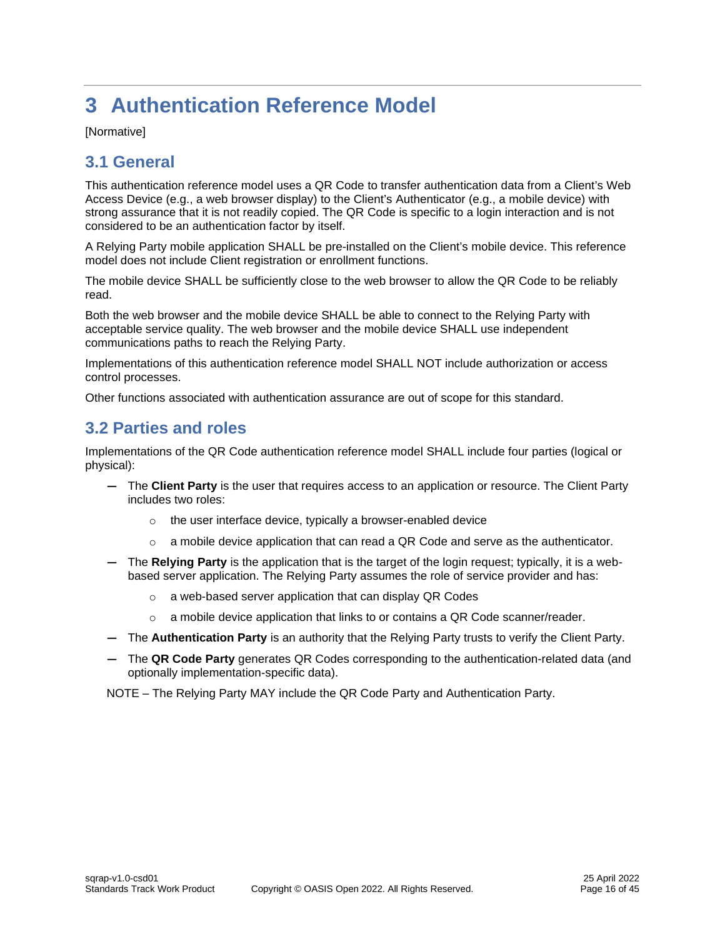# <span id="page-15-0"></span>**3 Authentication Reference Model**

[Normative]

# <span id="page-15-1"></span>**3.1 General**

This authentication reference model uses a QR Code to transfer authentication data from a Client's Web Access Device (e.g., a web browser display) to the Client's Authenticator (e.g., a mobile device) with strong assurance that it is not readily copied. The QR Code is specific to a login interaction and is not considered to be an authentication factor by itself.

A Relying Party mobile application SHALL be pre-installed on the Client's mobile device. This reference model does not include Client registration or enrollment functions.

The mobile device SHALL be sufficiently close to the web browser to allow the QR Code to be reliably read.

Both the web browser and the mobile device SHALL be able to connect to the Relying Party with acceptable service quality. The web browser and the mobile device SHALL use independent communications paths to reach the Relying Party.

Implementations of this authentication reference model SHALL NOT include authorization or access control processes.

Other functions associated with authentication assurance are out of scope for this standard.

# <span id="page-15-2"></span>**3.2 Parties and roles**

Implementations of the QR Code authentication reference model SHALL include four parties (logical or physical):

- **—** The **Client Party** is the user that requires access to an application or resource. The Client Party includes two roles:
	- o the user interface device, typically a browser-enabled device
	- $\circ$  a mobile device application that can read a QR Code and serve as the authenticator.
- **—** The **Relying Party** is the application that is the target of the login request; typically, it is a webbased server application. The Relying Party assumes the role of service provider and has:
	- o a web-based server application that can display QR Codes
	- $\circ$  a mobile device application that links to or contains a QR Code scanner/reader.
- **—** The **Authentication Party** is an authority that the Relying Party trusts to verify the Client Party.
- **—** The **QR Code Party** generates QR Codes corresponding to the authentication-related data (and optionally implementation-specific data).

NOTE – The Relying Party MAY include the QR Code Party and Authentication Party.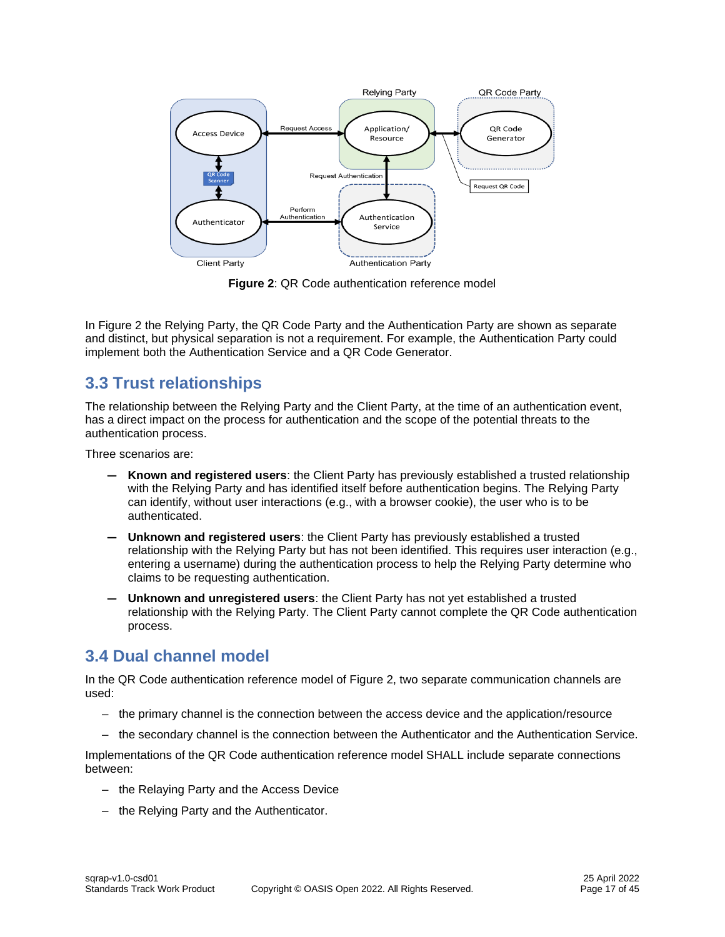

**Figure 2**: QR Code authentication reference model

In Figure 2 the Relying Party, the QR Code Party and the Authentication Party are shown as separate and distinct, but physical separation is not a requirement. For example, the Authentication Party could implement both the Authentication Service and a QR Code Generator.

# <span id="page-16-0"></span>**3.3 Trust relationships**

The relationship between the Relying Party and the Client Party, at the time of an authentication event, has a direct impact on the process for authentication and the scope of the potential threats to the authentication process.

Three scenarios are:

- **— Known and registered users**: the Client Party has previously established a trusted relationship with the Relying Party and has identified itself before authentication begins. The Relying Party can identify, without user interactions (e.g., with a browser cookie), the user who is to be authenticated.
- **— Unknown and registered users**: the Client Party has previously established a trusted relationship with the Relying Party but has not been identified. This requires user interaction (e.g., entering a username) during the authentication process to help the Relying Party determine who claims to be requesting authentication.
- **— Unknown and unregistered users**: the Client Party has not yet established a trusted relationship with the Relying Party. The Client Party cannot complete the QR Code authentication process.

# <span id="page-16-1"></span>**3.4 Dual channel model**

In the QR Code authentication reference model of Figure 2, two separate communication channels are used:

- the primary channel is the connection between the access device and the application/resource
- the secondary channel is the connection between the Authenticator and the Authentication Service.

Implementations of the QR Code authentication reference model SHALL include separate connections between:

- the Relaying Party and the Access Device
- the Relying Party and the Authenticator.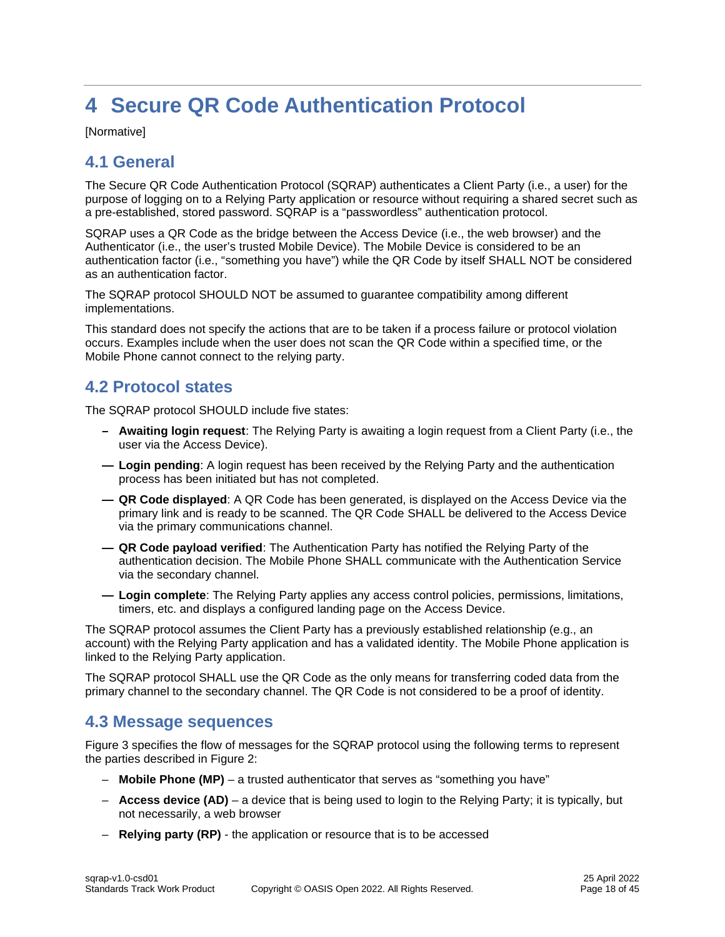# <span id="page-17-0"></span>**4 Secure QR Code Authentication Protocol**

[Normative]

# <span id="page-17-1"></span>**4.1 General**

The Secure QR Code Authentication Protocol (SQRAP) authenticates a Client Party (i.e., a user) for the purpose of logging on to a Relying Party application or resource without requiring a shared secret such as a pre-established, stored password. SQRAP is a "passwordless" authentication protocol.

SQRAP uses a QR Code as the bridge between the Access Device (i.e., the web browser) and the Authenticator (i.e., the user's trusted Mobile Device). The Mobile Device is considered to be an authentication factor (i.e., "something you have") while the QR Code by itself SHALL NOT be considered as an authentication factor.

The SQRAP protocol SHOULD NOT be assumed to guarantee compatibility among different implementations.

This standard does not specify the actions that are to be taken if a process failure or protocol violation occurs. Examples include when the user does not scan the QR Code within a specified time, or the Mobile Phone cannot connect to the relying party.

# <span id="page-17-2"></span>**4.2 Protocol states**

The SQRAP protocol SHOULD include five states:

- **– Awaiting login request**: The Relying Party is awaiting a login request from a Client Party (i.e., the user via the Access Device).
- **— Login pending**: A login request has been received by the Relying Party and the authentication process has been initiated but has not completed.
- **— QR Code displayed**: A QR Code has been generated, is displayed on the Access Device via the primary link and is ready to be scanned. The QR Code SHALL be delivered to the Access Device via the primary communications channel.
- **— QR Code payload verified**: The Authentication Party has notified the Relying Party of the authentication decision. The Mobile Phone SHALL communicate with the Authentication Service via the secondary channel.
- **— Login complete**: The Relying Party applies any access control policies, permissions, limitations, timers, etc. and displays a configured landing page on the Access Device.

The SQRAP protocol assumes the Client Party has a previously established relationship (e.g., an account) with the Relying Party application and has a validated identity. The Mobile Phone application is linked to the Relying Party application.

The SQRAP protocol SHALL use the QR Code as the only means for transferring coded data from the primary channel to the secondary channel. The QR Code is not considered to be a proof of identity.

### <span id="page-17-3"></span>**4.3 Message sequences**

Figure 3 specifies the flow of messages for the SQRAP protocol using the following terms to represent the parties described in Figure 2:

- **Mobile Phone (MP)** a trusted authenticator that serves as "something you have"
- **Access device (AD)** a device that is being used to login to the Relying Party; it is typically, but not necessarily, a web browser
- **Relying party (RP)** the application or resource that is to be accessed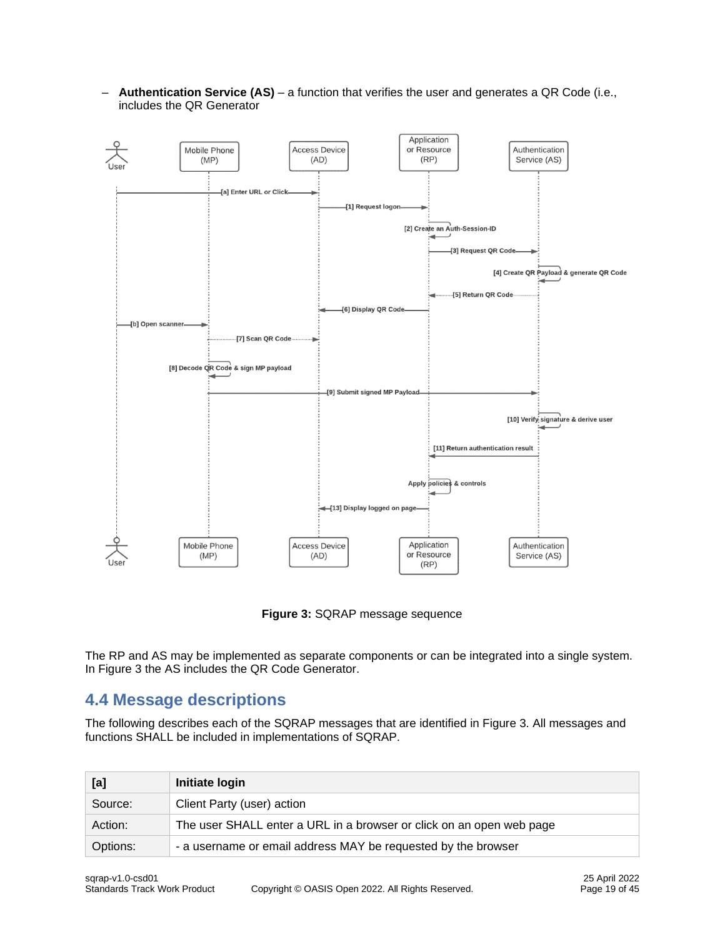

– **Authentication Service (AS)** – a function that verifies the user and generates a QR Code (i.e., includes the QR Generator

**Figure 3:** SQRAP message sequence

The RP and AS may be implemented as separate components or can be integrated into a single system. In Figure 3 the AS includes the QR Code Generator.

### <span id="page-18-0"></span>**4.4 Message descriptions**

The following describes each of the SQRAP messages that are identified in Figure 3. All messages and functions SHALL be included in implementations of SQRAP.

| [a]      | Initiate login                                                       |
|----------|----------------------------------------------------------------------|
| Source:  | Client Party (user) action                                           |
| Action:  | The user SHALL enter a URL in a browser or click on an open web page |
| Options: | - a username or email address MAY be requested by the browser        |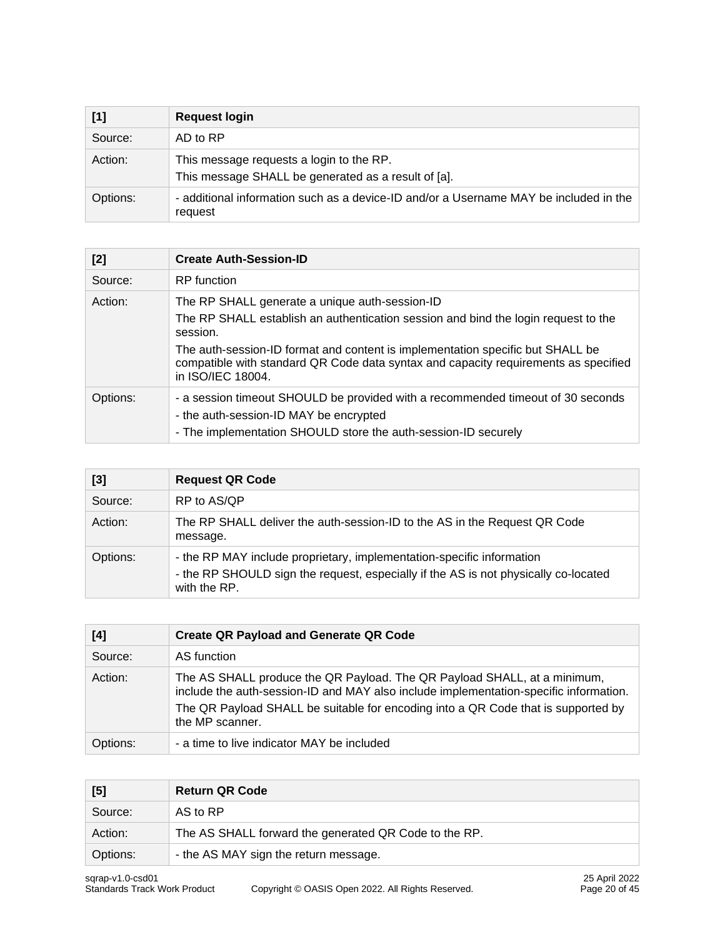| [1]      | <b>Request login</b>                                                                             |
|----------|--------------------------------------------------------------------------------------------------|
| Source:  | AD to RP                                                                                         |
| Action:  | This message requests a login to the RP.<br>This message SHALL be generated as a result of [a].  |
| Options: | - additional information such as a device-ID and/or a Username MAY be included in the<br>request |

| [2]      | <b>Create Auth-Session-ID</b>                                                                                                                                                                                                                                                                                                                  |
|----------|------------------------------------------------------------------------------------------------------------------------------------------------------------------------------------------------------------------------------------------------------------------------------------------------------------------------------------------------|
| Source:  | <b>RP</b> function                                                                                                                                                                                                                                                                                                                             |
| Action:  | The RP SHALL generate a unique auth-session-ID<br>The RP SHALL establish an authentication session and bind the login request to the<br>session.<br>The auth-session-ID format and content is implementation specific but SHALL be<br>compatible with standard QR Code data syntax and capacity requirements as specified<br>in ISO/IEC 18004. |
| Options: | - a session timeout SHOULD be provided with a recommended timeout of 30 seconds<br>- the auth-session-ID MAY be encrypted<br>- The implementation SHOULD store the auth-session-ID securely                                                                                                                                                    |

| $[3]$    | <b>Request QR Code</b>                                                                                                                                                       |
|----------|------------------------------------------------------------------------------------------------------------------------------------------------------------------------------|
| Source:  | RP to AS/QP                                                                                                                                                                  |
| Action:  | The RP SHALL deliver the auth-session-ID to the AS in the Request QR Code<br>message.                                                                                        |
| Options: | - the RP MAY include proprietary, implementation-specific information<br>- the RP SHOULD sign the request, especially if the AS is not physically co-located<br>with the RP. |

| [4]      | <b>Create QR Payload and Generate QR Code</b>                                                                                                                                                                                                                             |
|----------|---------------------------------------------------------------------------------------------------------------------------------------------------------------------------------------------------------------------------------------------------------------------------|
| Source:  | AS function                                                                                                                                                                                                                                                               |
| Action:  | The AS SHALL produce the QR Payload. The QR Payload SHALL, at a minimum,<br>include the auth-session-ID and MAY also include implementation-specific information.<br>The QR Payload SHALL be suitable for encoding into a QR Code that is supported by<br>the MP scanner. |
| Options: | - a time to live indicator MAY be included                                                                                                                                                                                                                                |

| [5]      | <b>Return QR Code</b>                                 |
|----------|-------------------------------------------------------|
| Source:  | AS to RP                                              |
| Action:  | The AS SHALL forward the generated QR Code to the RP. |
| Options: | - the AS MAY sign the return message.                 |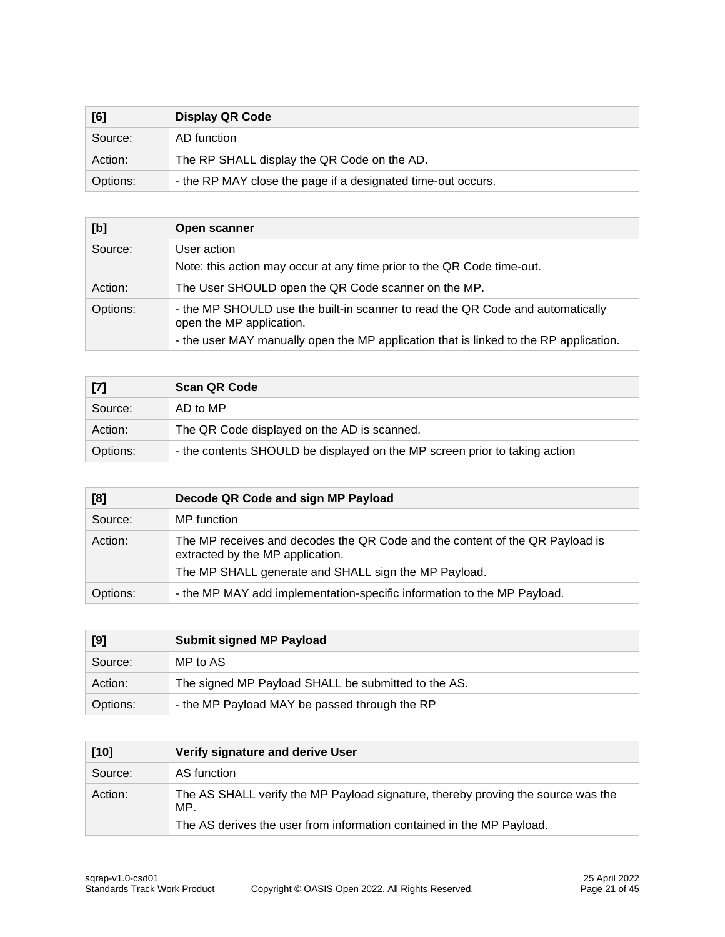| [6]      | <b>Display QR Code</b>                                       |
|----------|--------------------------------------------------------------|
| Source:  | AD function                                                  |
| Action:  | The RP SHALL display the QR Code on the AD.                  |
| Options: | - the RP MAY close the page if a designated time-out occurs. |

| [b]      | Open scanner                                                                                               |
|----------|------------------------------------------------------------------------------------------------------------|
| Source:  | User action<br>Note: this action may occur at any time prior to the QR Code time-out.                      |
| Action:  | The User SHOULD open the QR Code scanner on the MP.                                                        |
| Options: | - the MP SHOULD use the built-in scanner to read the QR Code and automatically<br>open the MP application. |
|          | - the user MAY manually open the MP application that is linked to the RP application.                      |

| [7]      | <b>Scan QR Code</b>                                                        |
|----------|----------------------------------------------------------------------------|
| Source:  | AD to MP                                                                   |
| Action:  | The QR Code displayed on the AD is scanned.                                |
| Options: | - the contents SHOULD be displayed on the MP screen prior to taking action |

| [8]      | Decode QR Code and sign MP Payload                                                                                                                                       |
|----------|--------------------------------------------------------------------------------------------------------------------------------------------------------------------------|
| Source:  | MP function                                                                                                                                                              |
| Action:  | The MP receives and decodes the QR Code and the content of the QR Payload is<br>extracted by the MP application.<br>The MP SHALL generate and SHALL sign the MP Payload. |
| Options: | - the MP MAY add implementation-specific information to the MP Payload.                                                                                                  |

| [9]      | <b>Submit signed MP Payload</b>                     |
|----------|-----------------------------------------------------|
| Source:  | MP to AS                                            |
| Action:  | The signed MP Payload SHALL be submitted to the AS. |
| Options: | - the MP Payload MAY be passed through the RP       |

| $[10]$  | Verify signature and derive User                                                        |
|---------|-----------------------------------------------------------------------------------------|
| Source: | AS function                                                                             |
| Action: | The AS SHALL verify the MP Payload signature, thereby proving the source was the<br>MP. |
|         | The AS derives the user from information contained in the MP Payload.                   |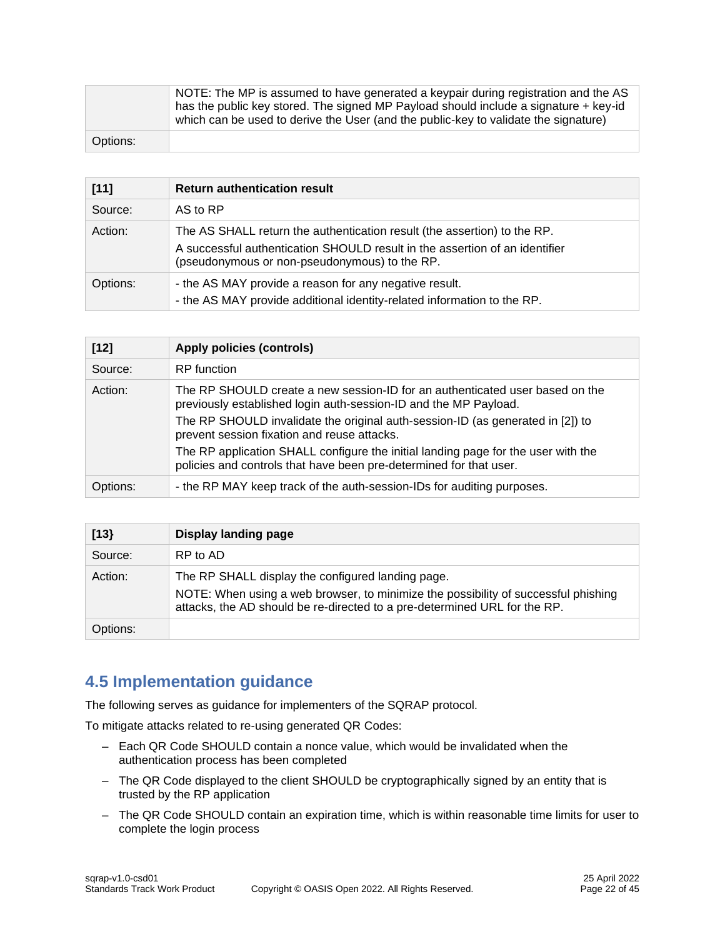|          | NOTE: The MP is assumed to have generated a keypair during registration and the AS<br>has the public key stored. The signed MP Payload should include a signature + key-id<br>which can be used to derive the User (and the public-key to validate the signature) |
|----------|-------------------------------------------------------------------------------------------------------------------------------------------------------------------------------------------------------------------------------------------------------------------|
| Options: |                                                                                                                                                                                                                                                                   |

| $[11]$   | <b>Return authentication result</b>                                                                                                                                                                      |
|----------|----------------------------------------------------------------------------------------------------------------------------------------------------------------------------------------------------------|
| Source:  | AS to RP                                                                                                                                                                                                 |
| Action:  | The AS SHALL return the authentication result (the assertion) to the RP.<br>A successful authentication SHOULD result in the assertion of an identifier<br>(pseudonymous or non-pseudonymous) to the RP. |
| Options: | - the AS MAY provide a reason for any negative result.<br>- the AS MAY provide additional identity-related information to the RP.                                                                        |

| $[12]$   | <b>Apply policies (controls)</b>                                                                                                                        |
|----------|---------------------------------------------------------------------------------------------------------------------------------------------------------|
| Source:  | RP function                                                                                                                                             |
| Action:  | The RP SHOULD create a new session-ID for an authenticated user based on the<br>previously established login auth-session-ID and the MP Payload.        |
|          | The RP SHOULD invalidate the original auth-session-ID (as generated in [2]) to<br>prevent session fixation and reuse attacks.                           |
|          | The RP application SHALL configure the initial landing page for the user with the<br>policies and controls that have been pre-determined for that user. |
| Options: | - the RP MAY keep track of the auth-session-IDs for auditing purposes.                                                                                  |

| [13]     | Display landing page                                                                                                                                                                                                 |
|----------|----------------------------------------------------------------------------------------------------------------------------------------------------------------------------------------------------------------------|
| Source:  | RP to AD                                                                                                                                                                                                             |
| Action:  | The RP SHALL display the configured landing page.<br>NOTE: When using a web browser, to minimize the possibility of successful phishing<br>attacks, the AD should be re-directed to a pre-determined URL for the RP. |
| Options: |                                                                                                                                                                                                                      |

# <span id="page-21-0"></span>**4.5 Implementation guidance**

The following serves as guidance for implementers of the SQRAP protocol.

To mitigate attacks related to re-using generated QR Codes:

- Each QR Code SHOULD contain a nonce value, which would be invalidated when the authentication process has been completed
- The QR Code displayed to the client SHOULD be cryptographically signed by an entity that is trusted by the RP application
- The QR Code SHOULD contain an expiration time, which is within reasonable time limits for user to complete the login process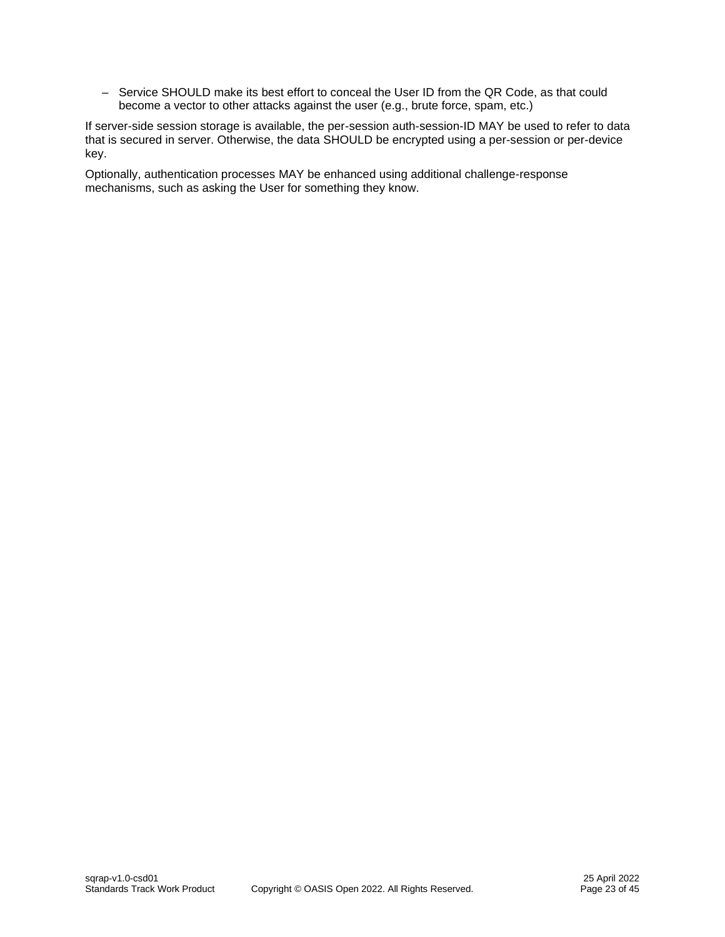– Service SHOULD make its best effort to conceal the User ID from the QR Code, as that could become a vector to other attacks against the user (e.g., brute force, spam, etc.)

If server-side session storage is available, the per-session auth-session-ID MAY be used to refer to data that is secured in server. Otherwise, the data SHOULD be encrypted using a per-session or per-device key.

Optionally, authentication processes MAY be enhanced using additional challenge-response mechanisms, such as asking the User for something they know.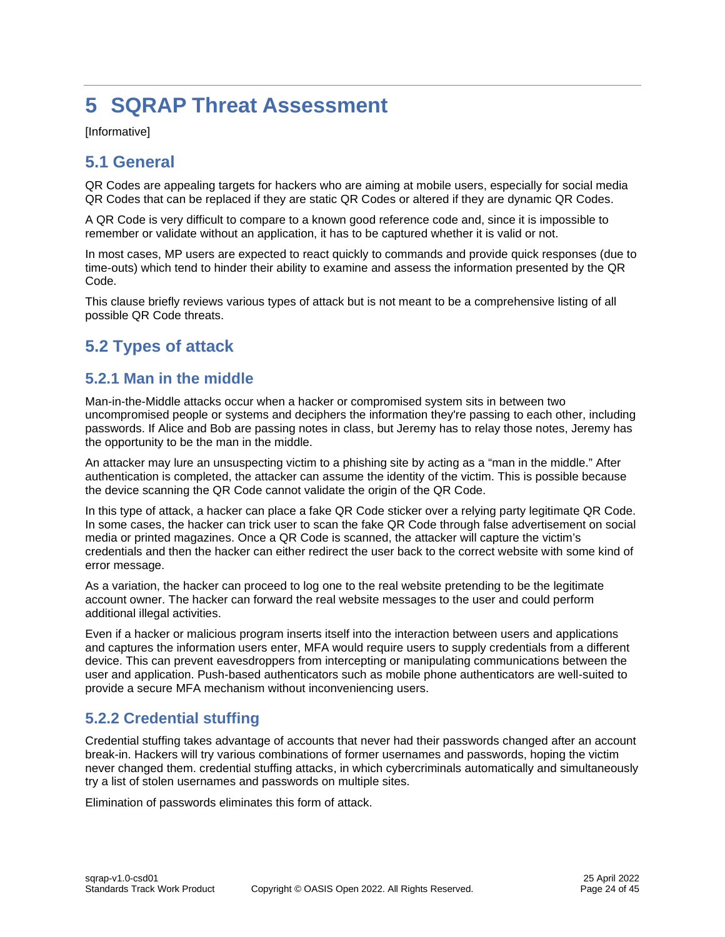# <span id="page-23-0"></span>**5 SQRAP Threat Assessment**

[Informative]

# <span id="page-23-1"></span>**5.1 General**

QR Codes are appealing targets for hackers who are aiming at mobile users, especially for social media QR Codes that can be replaced if they are static QR Codes or altered if they are dynamic QR Codes.

A QR Code is very difficult to compare to a known good reference code and, since it is impossible to remember or validate without an application, it has to be captured whether it is valid or not.

In most cases, MP users are expected to react quickly to commands and provide quick responses (due to time-outs) which tend to hinder their ability to examine and assess the information presented by the QR Code.

This clause briefly reviews various types of attack but is not meant to be a comprehensive listing of all possible QR Code threats.

# <span id="page-23-2"></span>**5.2 Types of attack**

### <span id="page-23-3"></span>**5.2.1 Man in the middle**

Man-in-the-Middle attacks occur when a hacker or compromised system sits in between two uncompromised people or systems and deciphers the information they're passing to each other, including passwords. If Alice and Bob are passing notes in class, but Jeremy has to relay those notes, Jeremy has the opportunity to be the man in the middle.

An attacker may lure an unsuspecting victim to a phishing site by acting as a "man in the middle." After authentication is completed, the attacker can assume the identity of the victim. This is possible because the device scanning the QR Code cannot validate the origin of the QR Code.

In this type of attack, a hacker can place a fake QR Code sticker over a relying party legitimate QR Code. In some cases, the hacker can trick user to scan the fake QR Code through false advertisement on social media or printed magazines. Once a QR Code is scanned, the attacker will capture the victim's credentials and then the hacker can either redirect the user back to the correct website with some kind of error message.

As a variation, the hacker can proceed to log one to the real website pretending to be the legitimate account owner. The hacker can forward the real website messages to the user and could perform additional illegal activities.

Even if a hacker or malicious program inserts itself into the interaction between users and applications and captures the information users enter, MFA would require users to supply credentials from a different device. This can prevent eavesdroppers from intercepting or manipulating communications between the user and application. Push-based authenticators such as mobile phone authenticators are well-suited to provide a secure MFA mechanism without inconveniencing users.

### <span id="page-23-4"></span>**5.2.2 Credential stuffing**

Credential stuffing takes advantage of accounts that never had their passwords changed after an account break-in. Hackers will try various combinations of former usernames and passwords, hoping the victim never changed them. credential stuffing attacks, in which cybercriminals automatically and simultaneously try a list of stolen usernames and passwords on multiple sites.

Elimination of passwords eliminates this form of attack.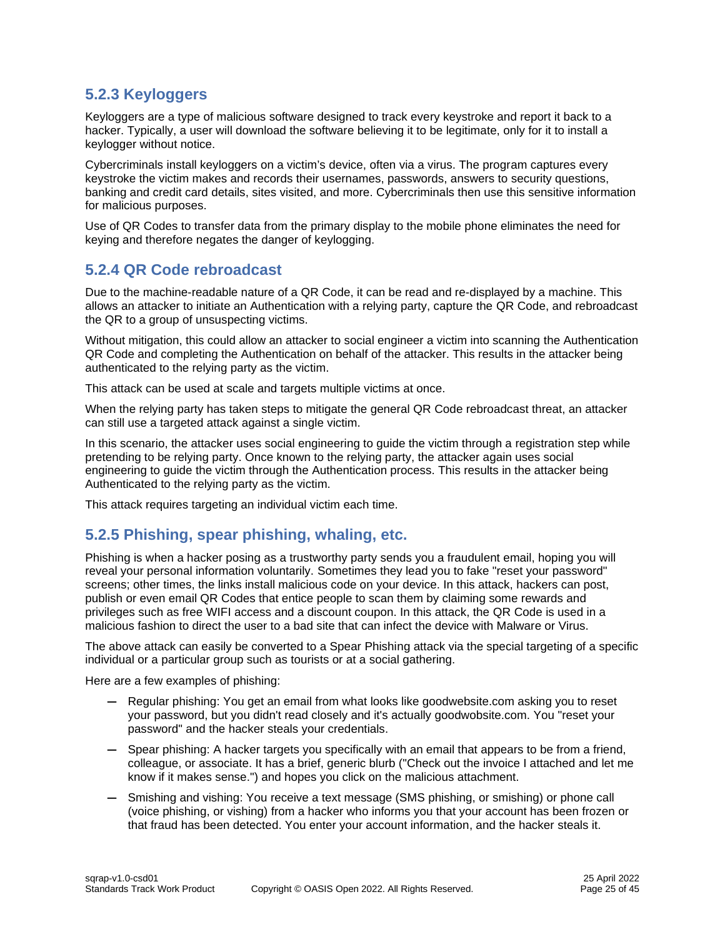### <span id="page-24-0"></span>**5.2.3 Keyloggers**

Keyloggers are a type of malicious software designed to track every keystroke and report it back to a hacker. Typically, a user will download the software believing it to be legitimate, only for it to install a keylogger without notice.

Cybercriminals install keyloggers on a victim's device, often via a virus. The program captures every keystroke the victim makes and records their usernames, passwords, answers to security questions, banking and credit card details, sites visited, and more. Cybercriminals then use this sensitive information for malicious purposes.

Use of QR Codes to transfer data from the primary display to the mobile phone eliminates the need for keying and therefore negates the danger of keylogging.

### <span id="page-24-1"></span>**5.2.4 QR Code rebroadcast**

Due to the machine-readable nature of a QR Code, it can be read and re-displayed by a machine. This allows an attacker to initiate an Authentication with a relying party, capture the QR Code, and rebroadcast the QR to a group of unsuspecting victims.

Without mitigation, this could allow an attacker to social engineer a victim into scanning the Authentication QR Code and completing the Authentication on behalf of the attacker. This results in the attacker being authenticated to the relying party as the victim.

This attack can be used at scale and targets multiple victims at once.

When the relying party has taken steps to mitigate the general QR Code rebroadcast threat, an attacker can still use a targeted attack against a single victim.

In this scenario, the attacker uses social engineering to guide the victim through a registration step while pretending to be relying party. Once known to the relying party, the attacker again uses social engineering to guide the victim through the Authentication process. This results in the attacker being Authenticated to the relying party as the victim.

This attack requires targeting an individual victim each time.

### <span id="page-24-2"></span>**5.2.5 Phishing, spear phishing, whaling, etc.**

Phishing is when a hacker posing as a trustworthy party sends you a fraudulent email, hoping you will reveal your personal information voluntarily. Sometimes they lead you to fake "reset your password" screens; other times, the links install malicious code on your device. In this attack, hackers can post, publish or even email QR Codes that entice people to scan them by claiming some rewards and privileges such as free WIFI access and a discount coupon. In this attack, the QR Code is used in a malicious fashion to direct the user to a bad site that can infect the device with Malware or Virus.

The above attack can easily be converted to a Spear Phishing attack via the special targeting of a specific individual or a particular group such as tourists or at a social gathering.

Here are a few examples of phishing:

- **—** Regular phishing: You get an email from what looks like goodwebsite.com asking you to reset your password, but you didn't read closely and it's actually goodwobsite.com. You "reset your password" and the hacker steals your credentials.
- **—** Spear phishing: A hacker targets you specifically with an email that appears to be from a friend, colleague, or associate. It has a brief, generic blurb ("Check out the invoice I attached and let me know if it makes sense.") and hopes you click on the malicious attachment.
- **—** Smishing and vishing: You receive a text message (SMS phishing, or smishing) or phone call (voice phishing, or vishing) from a hacker who informs you that your account has been frozen or that fraud has been detected. You enter your account information, and the hacker steals it.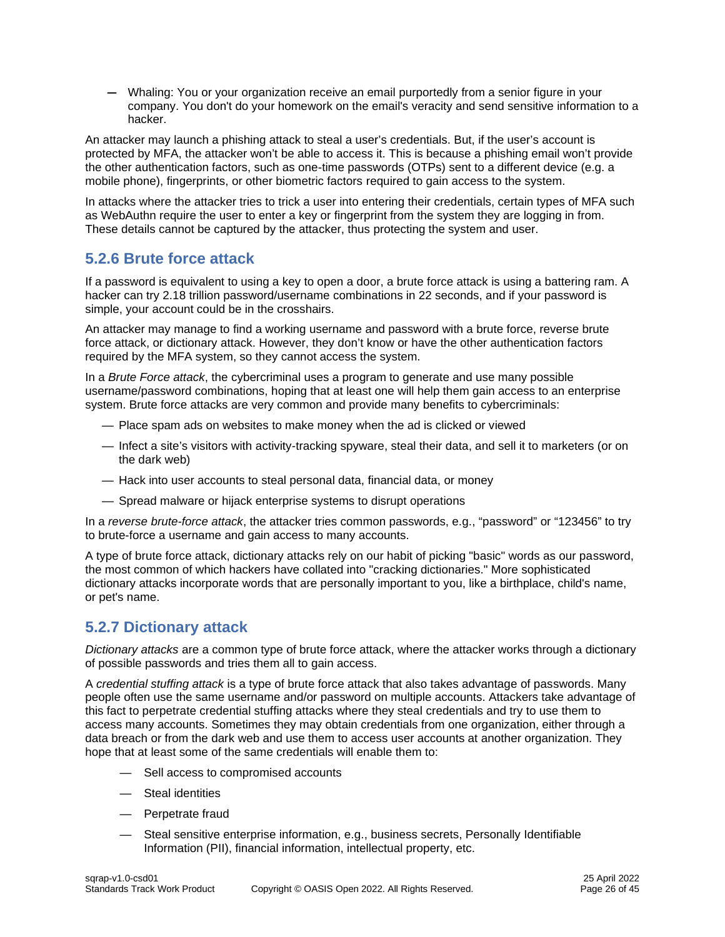**—** Whaling: You or your organization receive an email purportedly from a senior figure in your company. You don't do your homework on the email's veracity and send sensitive information to a hacker.

An attacker may launch a phishing attack to steal a user's credentials. But, if the user's account is protected by MFA, the attacker won't be able to access it. This is because a phishing email won't provide the other authentication factors, such as one-time passwords (OTPs) sent to a different device (e.g. a mobile phone), fingerprints, or other biometric factors required to gain access to the system.

In attacks where the attacker tries to trick a user into entering their credentials, certain types of MFA such as WebAuthn require the user to enter a key or fingerprint from the system they are logging in from. These details cannot be captured by the attacker, thus protecting the system and user.

### <span id="page-25-0"></span>**5.2.6 Brute force attack**

If a password is equivalent to using a key to open a door, a brute force attack is using a battering ram. A hacker can try [2.18 trillion password/username](https://phoenixnap.com/blog/brute-force-attack) combinations in 22 seconds, and if your password is simple, your account could be in the crosshairs.

An attacker may manage to find a working username and password with a brute force, reverse brute force attack, or dictionary attack. However, they don't know or have the other authentication factors required by the MFA system, so they cannot access the system.

In a *Brute Force attack*, the cybercriminal uses a program to generate and use many possible username/password combinations, hoping that at least one will help them gain access to an enterprise system. Brute force attacks are very common and provide many benefits to cybercriminals:

- Place spam ads on websites to make money when the ad is clicked or viewed
- Infect a site's visitors with activity-tracking spyware, steal their data, and sell it to marketers (or on the dark web)
- Hack into user accounts to steal personal data, financial data, or money
- Spread malware or hijack enterprise systems to disrupt operations

In a *reverse brute-force attack*, the attacker tries common passwords, e.g., "password" or "123456" to try to brute-force a username and gain access to many accounts.

A type of brute force attack, dictionary attacks rely on our habit of picking "basic" words as our password, the most common of which hackers have collated into "cracking dictionaries." More sophisticated dictionary attacks incorporate words that are personally important to you, like a birthplace, child's name, or pet's name.

### <span id="page-25-1"></span>**5.2.7 Dictionary attack**

*Dictionary attacks* are a common type of brute force attack, where the attacker works through a dictionary of possible passwords and tries them all to gain access.

A *credential stuffing attack* is a type of brute force attack that also takes advantage of passwords. Many people often use the same username and/or password on multiple accounts. Attackers take advantage of this fact to perpetrate credential stuffing attacks where they steal credentials and try to use them to access many accounts. Sometimes they may obtain credentials from one organization, either through a data breach or from the dark web and use them to access user accounts at another organization. They hope that at least some of the same credentials will enable them to:

- Sell access to compromised accounts
- Steal identities
- Perpetrate fraud
- Steal sensitive enterprise information, e.g., business secrets, Personally Identifiable Information (PII), financial information, intellectual property, etc.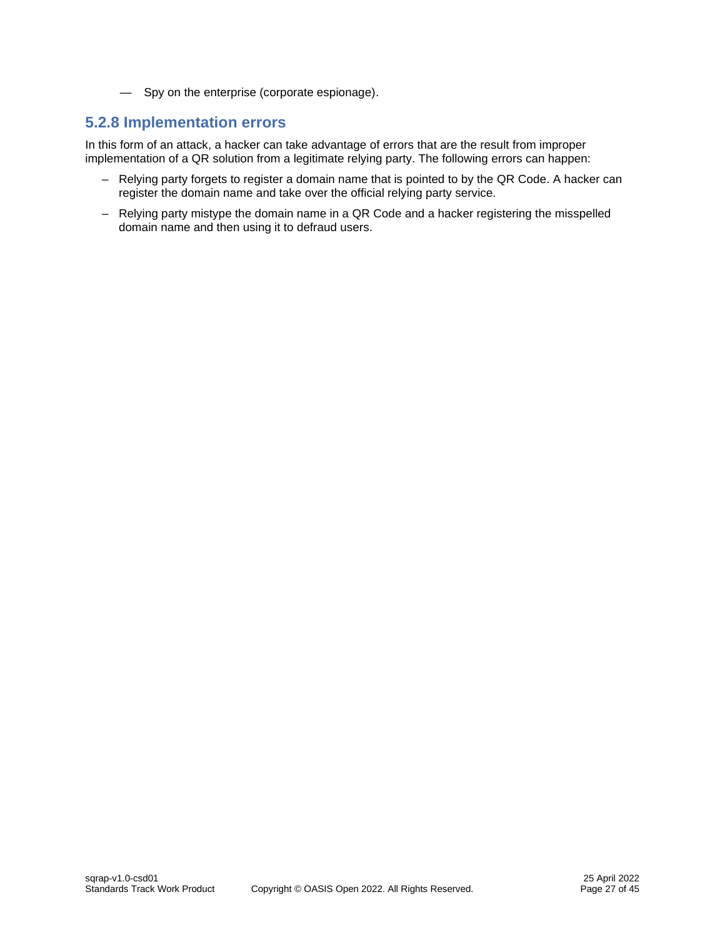— Spy on the enterprise (corporate espionage).

# <span id="page-26-0"></span>**5.2.8 Implementation errors**

In this form of an attack, a hacker can take advantage of errors that are the result from improper implementation of a QR solution from a legitimate relying party. The following errors can happen:

- Relying party forgets to register a domain name that is pointed to by the QR Code. A hacker can register the domain name and take over the official relying party service.
- Relying party mistype the domain name in a QR Code and a hacker registering the misspelled domain name and then using it to defraud users.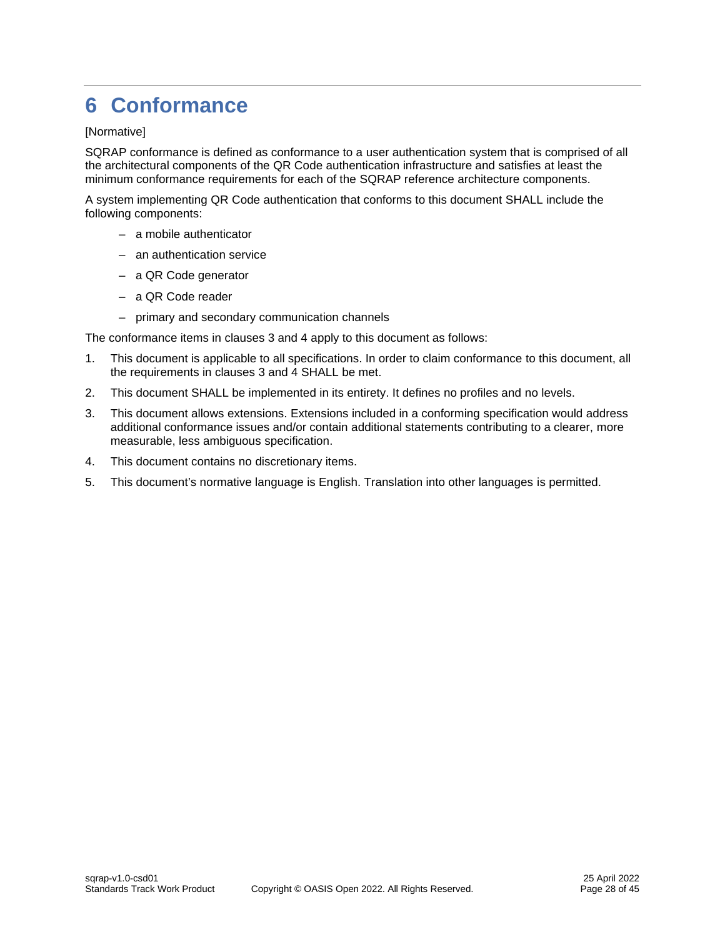# <span id="page-27-0"></span>**6 Conformance**

#### [Normative]

SQRAP conformance is defined as conformance to a user authentication system that is comprised of all the architectural components of the QR Code authentication infrastructure and satisfies at least the minimum conformance requirements for each of the SQRAP reference architecture components.

A system implementing QR Code authentication that conforms to this document SHALL include the following components:

- a mobile authenticator
- an authentication service
- a QR Code generator
- a QR Code reader
- primary and secondary communication channels

The conformance items in clauses 3 and 4 apply to this document as follows:

- 1. This document is applicable to all specifications. In order to claim conformance to this document, all the requirements in clauses 3 and 4 SHALL be met.
- 2. This document SHALL be implemented in its entirety. It defines no profiles and no levels.
- 3. This document allows extensions. Extensions included in a conforming specification would address additional conformance issues and/or contain additional statements contributing to a clearer, more measurable, less ambiguous specification.
- 4. This document contains no discretionary items.
- 5. This document's normative language is English. Translation into other languages is permitted.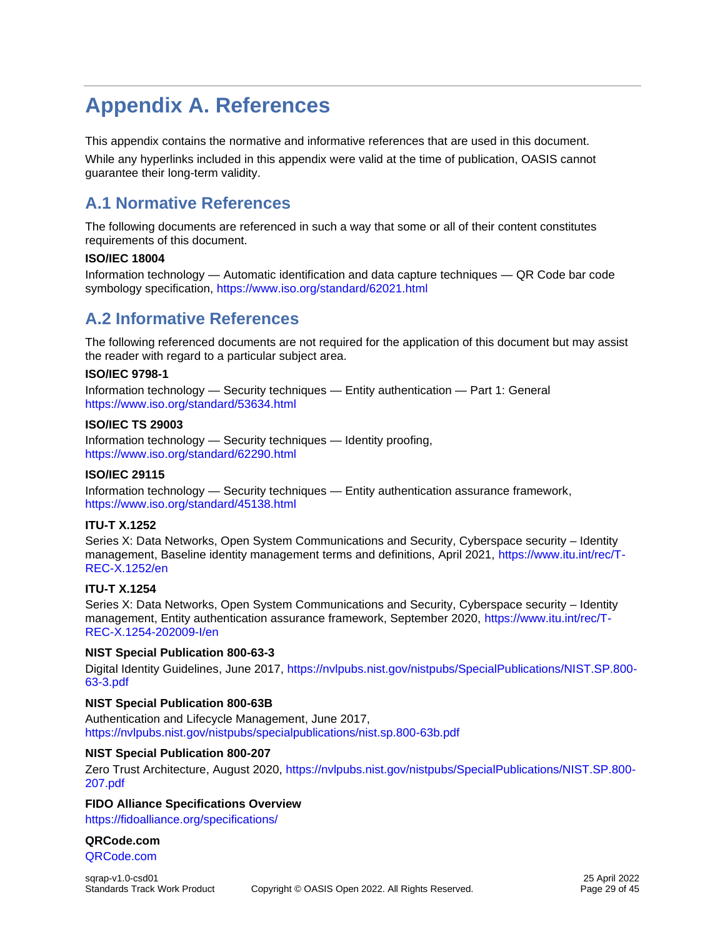# <span id="page-28-0"></span>**Appendix A. References**

This appendix contains the normative and informative references that are used in this document.

While any hyperlinks included in this appendix were valid at the time of publication, OASIS cannot guarantee their long-term validity.

# <span id="page-28-1"></span>**A.1 Normative References**

The following documents are referenced in such a way that some or all of their content constitutes requirements of this document.

#### **ISO/IEC 18004**

Information technology — Automatic identification and data capture techniques — QR Code bar code symbology specification,<https://www.iso.org/standard/62021.html>

# <span id="page-28-2"></span>**A.2 Informative References**

The following referenced documents are not required for the application of this document but may assist the reader with regard to a particular subject area.

#### **ISO/IEC 9798-1**

Information technology — Security techniques — Entity authentication — Part 1: General <https://www.iso.org/standard/53634.html>

#### **ISO/IEC TS 29003**

Information technology — Security techniques — Identity proofing, <https://www.iso.org/standard/62290.html>

#### **ISO/IEC 29115**

Information technology — Security techniques — Entity authentication assurance framework, <https://www.iso.org/standard/45138.html>

#### **ITU-T X.1252**

Series X: Data Networks, Open System Communications and Security, Cyberspace security – Identity management, Baseline identity management terms and definitions, April 2021, [https://www.itu.int/rec/T-](https://www.itu.int/rec/T-REC-X.1252/en)[REC-X.1252/en](https://www.itu.int/rec/T-REC-X.1252/en)

#### **ITU-T X.1254**

Series X: Data Networks, Open System Communications and Security, Cyberspace security – Identity management, Entity authentication assurance framework, September 2020, [https://www.itu.int/rec/T-](https://www.itu.int/rec/T-REC-X.1254-202009-I/en)[REC-X.1254-202009-I/en](https://www.itu.int/rec/T-REC-X.1254-202009-I/en)

#### **NIST Special Publication 800-63-3**

Digital Identity Guidelines, June 2017, [https://nvlpubs.nist.gov/nistpubs/SpecialPublications/NIST.SP.800-](https://nvlpubs.nist.gov/nistpubs/SpecialPublications/NIST.SP.800-63-3.pdf) [63-3.pdf](https://nvlpubs.nist.gov/nistpubs/SpecialPublications/NIST.SP.800-63-3.pdf)

#### **NIST Special Publication 800-63B**

Authentication and Lifecycle Management, June 2017, <https://nvlpubs.nist.gov/nistpubs/specialpublications/nist.sp.800-63b.pdf>

#### **NIST Special Publication 800-207**

Zero Trust Architecture, August 2020, [https://nvlpubs.nist.gov/nistpubs/SpecialPublications/NIST.SP.800-](https://nvlpubs.nist.gov/nistpubs/SpecialPublications/NIST.SP.800-207.pdf) [207.pdf](https://nvlpubs.nist.gov/nistpubs/SpecialPublications/NIST.SP.800-207.pdf)

#### **FIDO Alliance Specifications Overview**

<https://fidoalliance.org/specifications/>

#### **QRCode.com**

[QRCode.com](https://www.qrcode.com/en/)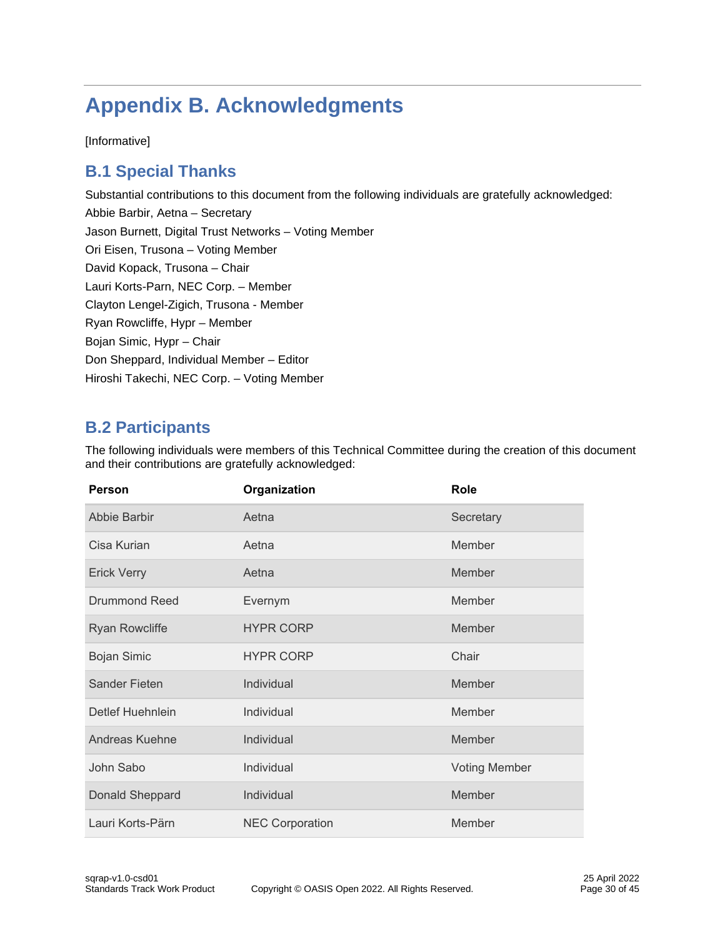# <span id="page-29-0"></span>**Appendix B. Acknowledgments**

[Informative]

# <span id="page-29-1"></span>**B.1 Special Thanks**

Substantial contributions to this document from the following individuals are gratefully acknowledged: Abbie Barbir, Aetna – Secretary Jason Burnett, Digital Trust Networks – Voting Member Ori Eisen, Trusona – Voting Member David Kopack, Trusona – Chair Lauri Korts-Parn, NEC Corp. – Member Clayton Lengel-Zigich, Trusona - Member Ryan Rowcliffe, Hypr – Member Bojan Simic, Hypr – Chair Don Sheppard, Individual Member – Editor Hiroshi Takechi, NEC Corp. – Voting Member

# <span id="page-29-2"></span>**B.2 Participants**

The following individuals were members of this Technical Committee during the creation of this document and their contributions are gratefully acknowledged:

| <b>Person</b>           | Organization           | Role                 |
|-------------------------|------------------------|----------------------|
| <b>Abbie Barbir</b>     | Aetna                  | Secretary            |
| Cisa Kurian             | Aetna                  | Member               |
| <b>Erick Verry</b>      | Aetna                  | Member               |
| Drummond Reed           | Evernym                | Member               |
| <b>Ryan Rowcliffe</b>   | <b>HYPR CORP</b>       | Member               |
| <b>Bojan Simic</b>      | <b>HYPR CORP</b>       | Chair                |
| <b>Sander Fieten</b>    | Individual             | Member               |
| <b>Detlef Huehnlein</b> | Individual             | Member               |
| <b>Andreas Kuehne</b>   | Individual             | Member               |
| John Sabo               | Individual             | <b>Voting Member</b> |
| Donald Sheppard         | Individual             | Member               |
| Lauri Korts-Pärn        | <b>NEC Corporation</b> | Member               |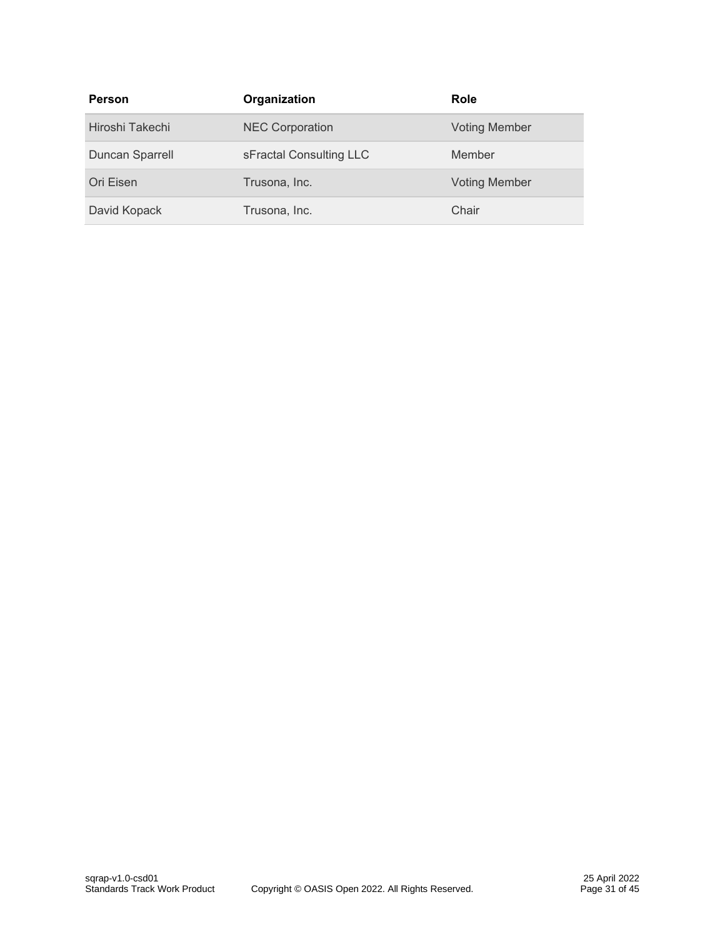| Person          | Organization            | Role                 |
|-----------------|-------------------------|----------------------|
| Hiroshi Takechi | <b>NEC Corporation</b>  | <b>Voting Member</b> |
| Duncan Sparrell | sFractal Consulting LLC | Member               |
| Ori Eisen       | Trusona, Inc.           | <b>Voting Member</b> |
| David Kopack    | Trusona, Inc.           | Chair                |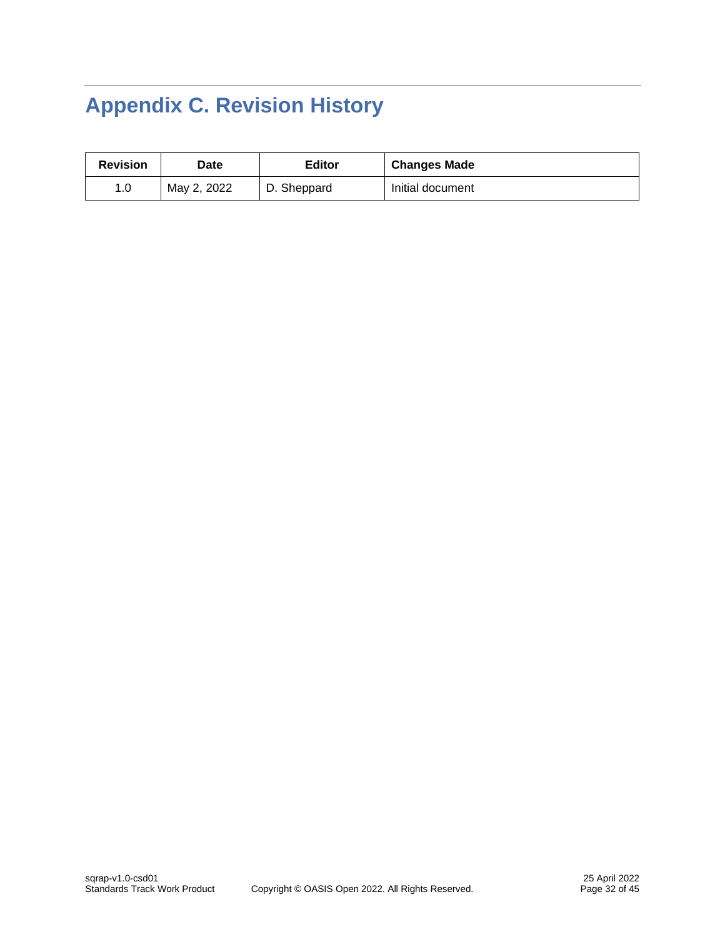# <span id="page-31-0"></span>**Appendix C. Revision History**

| <b>Revision</b> | Date        | <b>Editor</b> | <b>Changes Made</b> |
|-----------------|-------------|---------------|---------------------|
| 1.0             | May 2, 2022 | D. Sheppard   | Initial document    |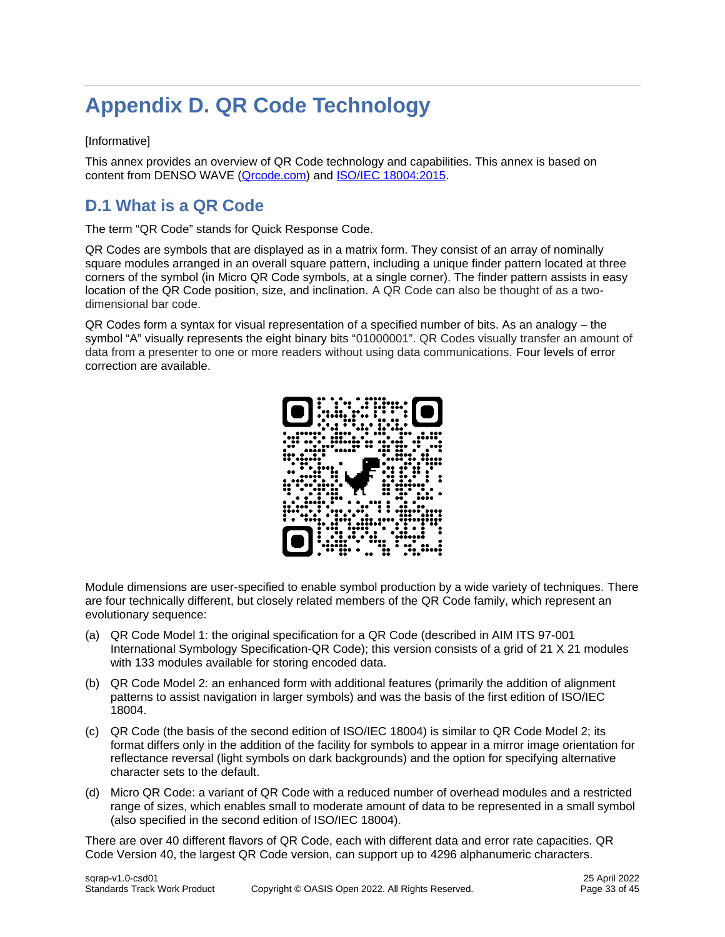# <span id="page-32-0"></span>**Appendix D. QR Code Technology**

#### [Informative]

This annex provides an overview of QR Code technology and capabilities. This annex is based on content from DENSO WAVE (Orcode.com) and **ISO/IEC 18004:2015**.

# <span id="page-32-1"></span>**D.1 What is a QR Code**

The term "QR Code" stands for Quick Response Code.

QR Codes are symbols that are displayed as in a matrix form. They consist of an array of nominally square modules arranged in an overall square pattern, including a unique finder pattern located at three corners of the symbol (in Micro QR Code symbols, at a single corner). The finder pattern assists in easy location of the QR Code position, size, and inclination. A QR Code can also be thought of as a twodimensional bar code.

QR Codes form a syntax for visual representation of a specified number of bits. As an analogy – the symbol "A" visually represents the eight binary bits "01000001". QR Codes visually transfer an amount of data from a presenter to one or more readers without using data communications. Four levels of error correction are available.



Module dimensions are user-specified to enable symbol production by a wide variety of techniques. There are four technically different, but closely related members of the QR Code family, which represent an evolutionary sequence:

- (a) QR Code Model 1: the original specification for a QR Code (described in AIM ITS 97-001 International Symbology Specification-QR Code); this version consists of a grid of 21 X 21 modules with 133 modules available for storing encoded data.
- (b) QR Code Model 2: an enhanced form with additional features (primarily the addition of alignment patterns to assist navigation in larger symbols) and was the basis of the first edition of ISO/IEC 18004.
- (c) QR Code (the basis of the second edition of ISO/IEC 18004) is similar to QR Code Model 2; its format differs only in the addition of the facility for symbols to appear in a mirror image orientation for reflectance reversal (light symbols on dark backgrounds) and the option for specifying alternative character sets to the default.
- (d) Micro QR Code: a variant of QR Code with a reduced number of overhead modules and a restricted range of sizes, which enables small to moderate amount of data to be represented in a small symbol (also specified in the second edition of ISO/IEC 18004).

There are over 40 different flavors of QR Code, each with different data and error rate capacities. QR Code Version 40, the largest QR Code version, can support up to 4296 alphanumeric characters.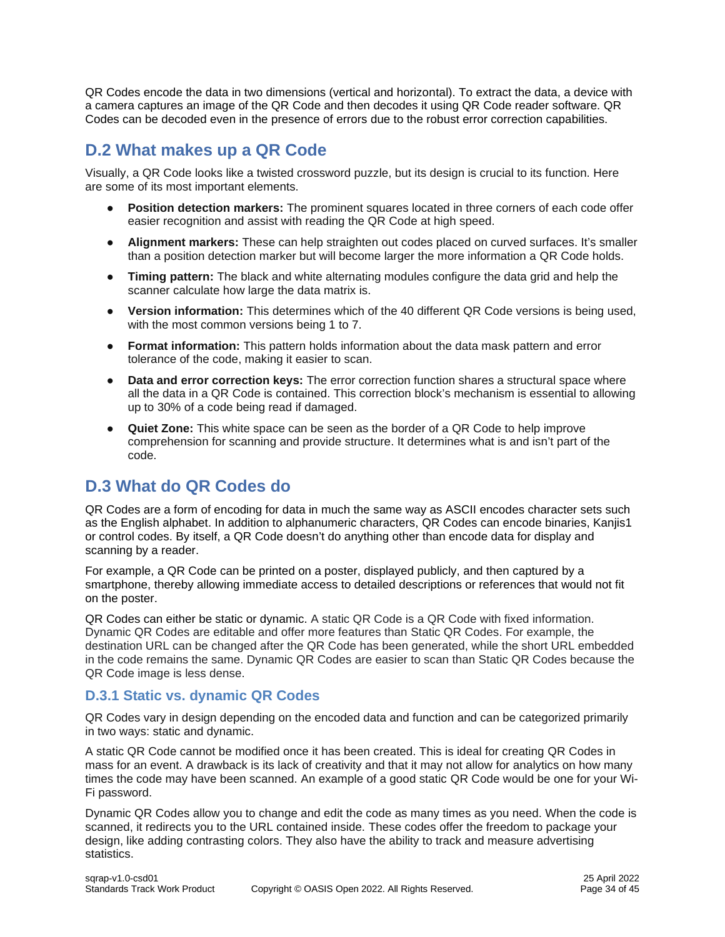QR Codes encode the data in two dimensions (vertical and horizontal). To extract the data, a device with a camera captures an image of the QR Code and then decodes it using QR Code reader software. QR Codes can be decoded even in the presence of errors due to the robust error correction capabilities.

# <span id="page-33-0"></span>**D.2 What makes up a QR Code**

Visually, a QR Code looks like a twisted crossword puzzle, but its design is crucial to its function. Here are some of its most important elements.

- **Position detection markers:** The prominent squares located in three corners of each code offer easier recognition and assist with reading the QR Code at high speed.
- Alignment markers: These can help straighten out codes placed on curved surfaces. It's smaller than a position detection marker but will become larger the more information a QR Code holds.
- **Timing pattern:** The black and white alternating modules configure the data grid and help the scanner calculate how large the data matrix is.
- **Version information:** This determines which of the 40 different QR Code versions is being used, with the most common versions being 1 to 7.
- **Format information:** This pattern holds information about the data mask pattern and error tolerance of the code, making it easier to scan.
- **Data and error correction keys:** The error correction function shares a structural space where all the data in a QR Code is contained. This correction block's mechanism is essential to allowing up to 30% of a code being read if damaged.
- **Quiet Zone:** This white space can be seen as the border of a QR Code to help improve comprehension for scanning and provide structure. It determines what is and isn't part of the code.

# <span id="page-33-1"></span>**D.3 What do QR Codes do**

QR Codes are a form of encoding for data in much the same way as ASCII encodes character sets such as the English alphabet. In addition to alphanumeric characters, QR Codes can encode binaries, Kanjis1 or control codes. By itself, a QR Code doesn't do anything other than encode data for display and scanning by a reader.

For example, a QR Code can be printed on a poster, displayed publicly, and then captured by a smartphone, thereby allowing immediate access to detailed descriptions or references that would not fit on the poster.

QR Codes can either be static or dynamic. A static QR Code is a QR Code with fixed information. Dynamic QR Codes are editable and offer more features than Static QR Codes. For example, the destination URL can be changed after the QR Code has been generated, while the short URL embedded in the code remains the same. Dynamic QR Codes are easier to scan than Static QR Codes because the QR Code image is less dense.

### **D.3.1 Static vs. dynamic QR Codes**

QR Codes vary in design depending on the encoded data and function and can be categorized primarily in two ways: static and dynamic.

A static QR Code cannot be modified once it has been created. This is ideal for creating QR Codes in mass for an event. A drawback is its lack of creativity and that it may not allow for analytics on how many times the code may have been scanned. An example of a good static QR Code would be one for your Wi-Fi password.

Dynamic QR Codes allow you to change and edit the code as many times as you need. When the code is scanned, it redirects you to the URL contained inside. These codes offer the freedom to package your design, like adding contrasting colors. They also have the ability to track and measure advertising statistics.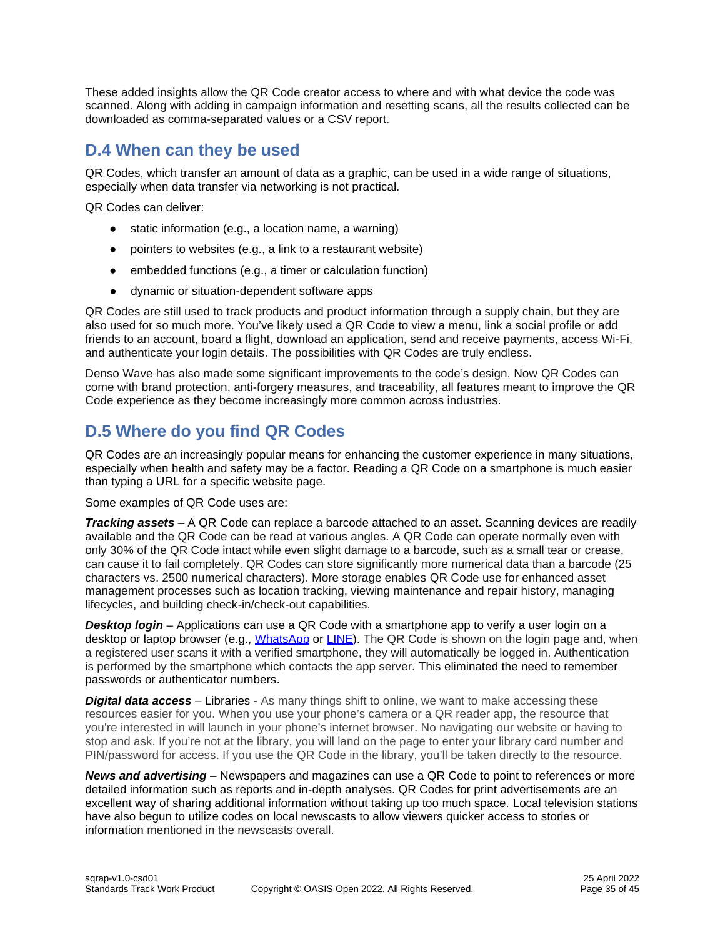These added insights allow the QR Code creator access to where and with what device the code was scanned. Along with adding in campaign information and resetting scans, all the results collected can be downloaded as comma-separated values or a CSV report.

# <span id="page-34-0"></span>**D.4 When can they be used**

QR Codes, which transfer an amount of data as a graphic, can be used in a wide range of situations, especially when data transfer via networking is not practical.

QR Codes can deliver:

- static information (e.g., a location name, a warning)
- pointers to websites (e.g., a link to a restaurant website)
- embedded functions (e.g., a timer or calculation function)
- dynamic or situation-dependent software apps

QR Codes are still used to track products and product information through a supply chain, but they are also used for so much more. You've likely used a QR Code to view a menu, link a social profile or add friends to an account, board a flight, download an application, send and receive payments, access Wi-Fi, and authenticate your login details. The possibilities with QR Codes are truly endless.

Denso Wave has also made some significant improvements to the code's design. Now QR Codes can come with brand protection, anti-forgery measures, and traceability, all features meant to improve the QR Code experience as they become increasingly more common across industries.

# <span id="page-34-1"></span>**D.5 Where do you find QR Codes**

QR Codes are an increasingly popular means for enhancing the customer experience in many situations, especially when health and safety may be a factor. Reading a QR Code on a smartphone is much easier than typing a URL for a specific website page.

Some examples of QR Code uses are:

*Tracking assets* – A QR Code can replace a barcode attached to an asset. Scanning devices are readily available and the QR Code can be read at various angles. A QR Code can operate normally even with only 30% of the QR Code intact while even slight damage to a barcode, such as a small tear or crease, can cause it to fail completely. QR Codes can store significantly more numerical data than a barcode (25 characters vs. 2500 numerical characters). More storage enables QR Code use for enhanced asset management processes such as location tracking, viewing maintenance and repair history, managing lifecycles, and building check-in/check-out capabilities.

*Desktop login* – Applications can use a QR Code with a smartphone app to verify a user login on a desktop or laptop browser (e.g., [WhatsApp](https://www.whatsapp.com/) or [LINE\)](https://line.me/en/). The QR Code is shown on the login page and, when a registered user scans it with a verified smartphone, they will automatically be logged in. Authentication is performed by the smartphone which contacts the app server. This eliminated the need to remember passwords or authenticator numbers.

*Digital data access* – Libraries - As many things shift to online, we want to make accessing these resources easier for you. When you use your phone's camera or a QR reader app, the resource that you're interested in will launch in your phone's internet browser. No navigating our website or having to stop and ask. If you're not at the library, you will land on the page to enter your library card number and PIN/password for access. If you use the QR Code in the library, you'll be taken directly to the resource.

*News and advertising* – Newspapers and magazines can use a QR Code to point to references or more detailed information such as reports and in-depth analyses. QR Codes for print advertisements are an excellent way of sharing additional information without taking up too much space. Local television stations have also begun to utilize codes on local newscasts to allow viewers quicker access to stories or information mentioned in the newscasts overall.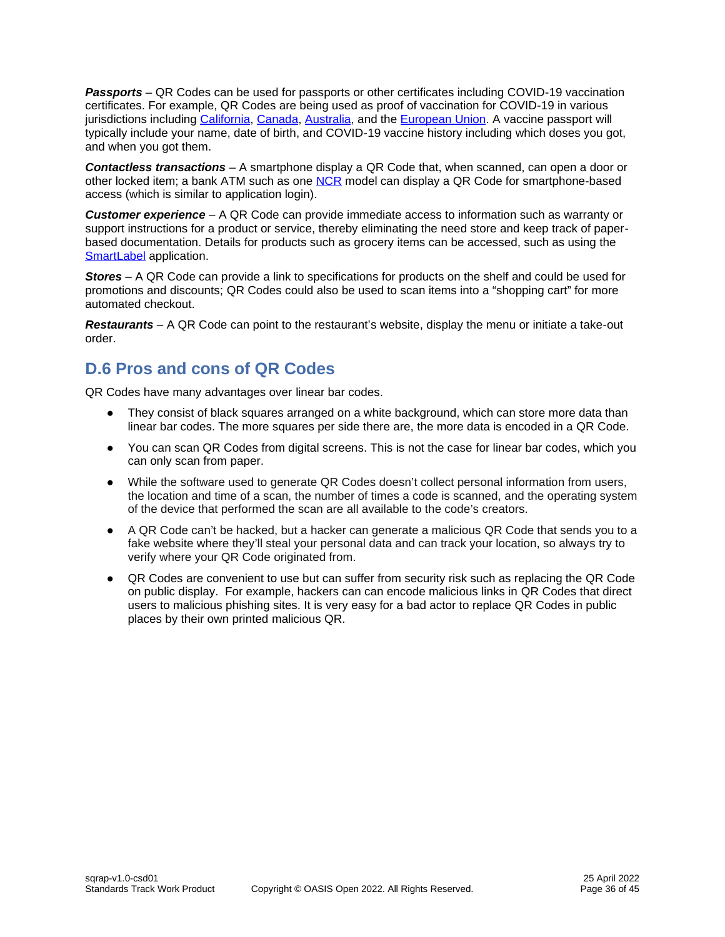*Passports* – QR Codes can be used for passports or other certificates including COVID-19 vaccination certificates. For example, QR Codes are being used as proof of vaccination for COVID-19 in various jurisdictions including [California,](https://myvaccinerecord.cdph.ca.gov/) [Canada,](https://covid-19.ontario.ca/proof-covid-19-vaccination) [Australia,](https://www.smartraveller.gov.au/COVID-19/COVID-19-vaccination-certificates) and the [European Union.](https://ec.europa.eu/info/live-work-travel-eu/coronavirus-response/safe-covid-19-vaccines-europeans/eu-digital-covid-certificate_en) A vaccine passport will typically include your name, date of birth, and COVID-19 vaccine history including which doses you got, and when you got them.

*Contactless transactions* – A smartphone display a QR Code that, when scanned, can open a door or other locked item; a bank ATM such as one [NCR](https://www.ncr.com/content/dam/ncrcom/content-type/datasheets/cs_mobilecashwithdrawal.pdf) model can display a QR Code for smartphone-based access (which is similar to application login).

*Customer experience* – A QR Code can provide immediate access to information such as warranty or support instructions for a product or service, thereby eliminating the need store and keep track of paperbased documentation. Details for products such as grocery items can be accessed, such as using the [SmartLabel](https://www.smartlabel.org/) application.

*Stores* – A QR Code can provide a link to specifications for products on the shelf and could be used for promotions and discounts; QR Codes could also be used to scan items into a "shopping cart" for more automated checkout.

*Restaurants* – A QR Code can point to the restaurant's website, display the menu or initiate a take-out order.

# <span id="page-35-0"></span>**D.6 Pros and cons of QR Codes**

QR Codes have many advantages over linear bar codes.

- They consist of black squares arranged on a white background, which can store more data than linear bar codes. The more squares per side there are, the more data is encoded in a QR Code.
- You can scan QR Codes from digital screens. This is not the case for linear bar codes, which you can only scan from paper.
- While the software used to generate QR Codes doesn't collect personal information from users, the location and time of a scan, the number of times a code is scanned, and the operating system of the device that performed the scan are all available to the code's creators.
- A QR Code can't be hacked, but a hacker can generate a malicious QR Code that sends you to a fake website where they'll steal your personal data and can track your location, so always try to verify where your QR Code originated from.
- QR Codes are convenient to use but can suffer from security risk such as replacing the QR Code on public display. For example, hackers can can encode malicious links in QR Codes that direct users to malicious phishing sites. It is very easy for a bad actor to replace QR Codes in public places by their own printed malicious QR.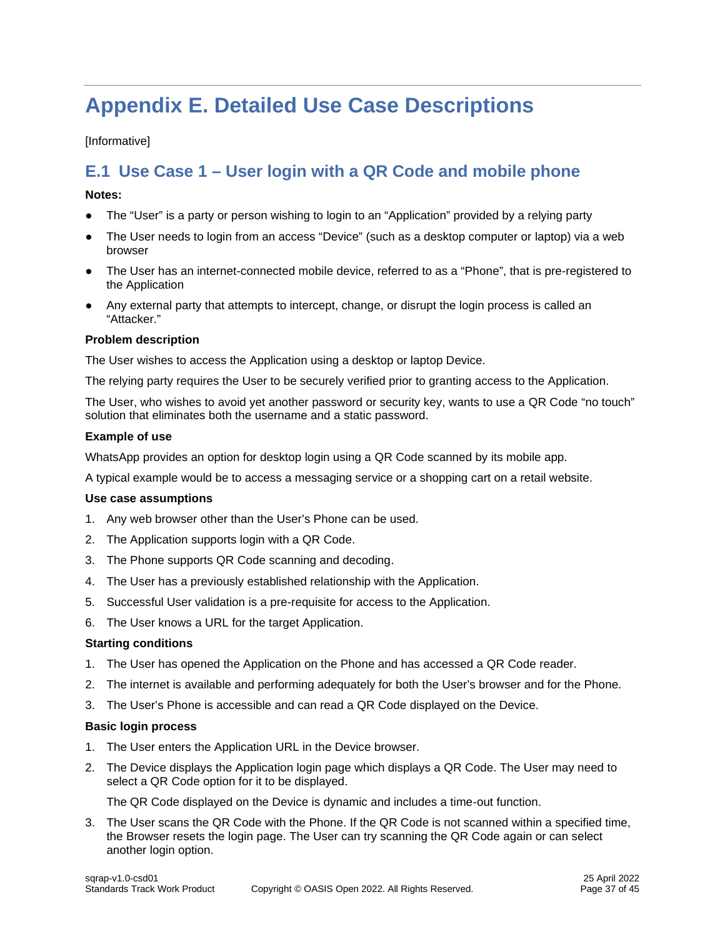# <span id="page-36-0"></span>**Appendix E. Detailed Use Case Descriptions**

#### [Informative]

# <span id="page-36-1"></span>**E.1 Use Case 1 – User login with a QR Code and mobile phone**

#### **Notes:**

- The "User" is a party or person wishing to login to an "Application" provided by a relying party
- The User needs to login from an access "Device" (such as a desktop computer or laptop) via a web browser
- The User has an internet-connected mobile device, referred to as a "Phone", that is pre-registered to the Application
- Any external party that attempts to intercept, change, or disrupt the login process is called an "Attacker."

#### **Problem description**

The User wishes to access the Application using a desktop or laptop Device.

The relying party requires the User to be securely verified prior to granting access to the Application.

The User, who wishes to avoid yet another password or security key, wants to use a QR Code "no touch" solution that eliminates both the username and a static password.

#### **Example of use**

WhatsApp provides an option for desktop login using a QR Code scanned by its mobile app.

A typical example would be to access a messaging service or a shopping cart on a retail website.

#### **Use case assumptions**

- 1. Any web browser other than the User's Phone can be used.
- 2. The Application supports login with a QR Code.
- 3. The Phone supports QR Code scanning and decoding.
- 4. The User has a previously established relationship with the Application.
- 5. Successful User validation is a pre-requisite for access to the Application.
- 6. The User knows a URL for the target Application.

#### **Starting conditions**

- 1. The User has opened the Application on the Phone and has accessed a QR Code reader.
- 2. The internet is available and performing adequately for both the User's browser and for the Phone.
- 3. The User's Phone is accessible and can read a QR Code displayed on the Device.

#### **Basic login process**

- 1. The User enters the Application URL in the Device browser.
- 2. The Device displays the Application login page which displays a QR Code. The User may need to select a QR Code option for it to be displayed.

The QR Code displayed on the Device is dynamic and includes a time-out function.

3. The User scans the QR Code with the Phone. If the QR Code is not scanned within a specified time, the Browser resets the login page. The User can try scanning the QR Code again or can select another login option.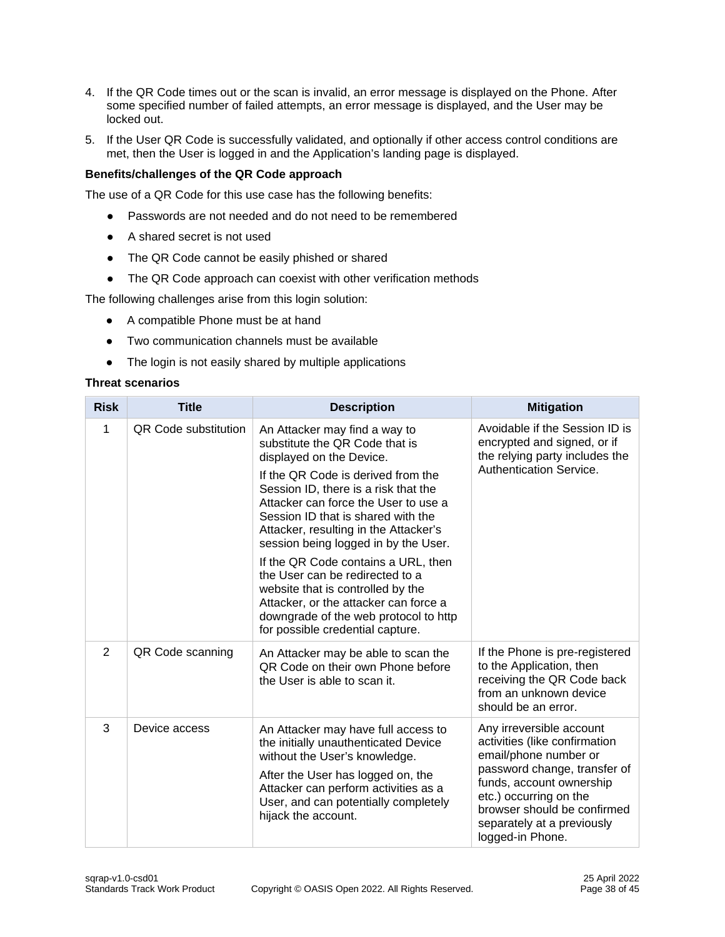- 4. If the QR Code times out or the scan is invalid, an error message is displayed on the Phone. After some specified number of failed attempts, an error message is displayed, and the User may be locked out.
- 5. If the User QR Code is successfully validated, and optionally if other access control conditions are met, then the User is logged in and the Application's landing page is displayed.

#### **Benefits/challenges of the QR Code approach**

The use of a QR Code for this use case has the following benefits:

- Passwords are not needed and do not need to be remembered
- A shared secret is not used
- The QR Code cannot be easily phished or shared
- The QR Code approach can coexist with other verification methods

The following challenges arise from this login solution:

- A compatible Phone must be at hand
- Two communication channels must be available
- The login is not easily shared by multiple applications

#### **Threat scenarios**

| <b>Risk</b>    | <b>Title</b>                | <b>Description</b>                                                                                                                                                                                                                                                                                                                                                                                                                                                                                                                                                            | <b>Mitigation</b>                                                                                                                                                                                                                                         |
|----------------|-----------------------------|-------------------------------------------------------------------------------------------------------------------------------------------------------------------------------------------------------------------------------------------------------------------------------------------------------------------------------------------------------------------------------------------------------------------------------------------------------------------------------------------------------------------------------------------------------------------------------|-----------------------------------------------------------------------------------------------------------------------------------------------------------------------------------------------------------------------------------------------------------|
| $\mathbf{1}$   | <b>QR Code substitution</b> | An Attacker may find a way to<br>substitute the QR Code that is<br>displayed on the Device.<br>If the QR Code is derived from the<br>Session ID, there is a risk that the<br>Attacker can force the User to use a<br>Session ID that is shared with the<br>Attacker, resulting in the Attacker's<br>session being logged in by the User.<br>If the QR Code contains a URL, then<br>the User can be redirected to a<br>website that is controlled by the<br>Attacker, or the attacker can force a<br>downgrade of the web protocol to http<br>for possible credential capture. | Avoidable if the Session ID is<br>encrypted and signed, or if<br>the relying party includes the<br>Authentication Service.                                                                                                                                |
| $\overline{2}$ | QR Code scanning            | An Attacker may be able to scan the<br>QR Code on their own Phone before<br>the User is able to scan it.                                                                                                                                                                                                                                                                                                                                                                                                                                                                      | If the Phone is pre-registered<br>to the Application, then<br>receiving the QR Code back<br>from an unknown device<br>should be an error.                                                                                                                 |
| 3              | Device access               | An Attacker may have full access to<br>the initially unauthenticated Device<br>without the User's knowledge.<br>After the User has logged on, the<br>Attacker can perform activities as a<br>User, and can potentially completely<br>hijack the account.                                                                                                                                                                                                                                                                                                                      | Any irreversible account<br>activities (like confirmation<br>email/phone number or<br>password change, transfer of<br>funds, account ownership<br>etc.) occurring on the<br>browser should be confirmed<br>separately at a previously<br>logged-in Phone. |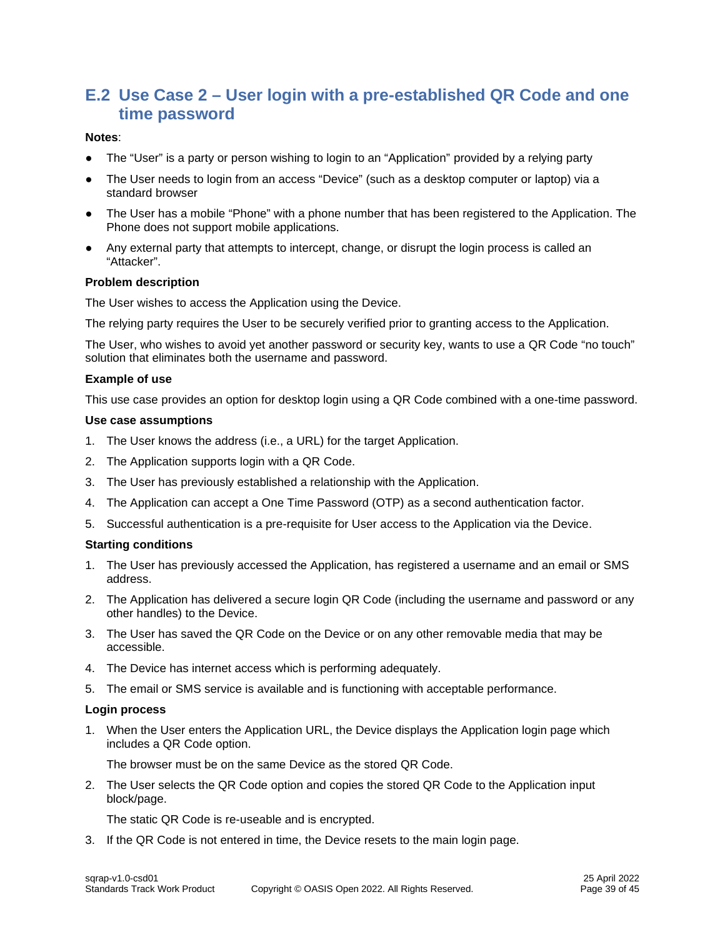# <span id="page-38-0"></span>**E.2 Use Case 2 – User login with a pre-established QR Code and one time password**

#### **Notes**:

- The "User" is a party or person wishing to login to an "Application" provided by a relying party
- The User needs to login from an access "Device" (such as a desktop computer or laptop) via a standard browser
- The User has a mobile "Phone" with a phone number that has been registered to the Application. The Phone does not support mobile applications.
- Any external party that attempts to intercept, change, or disrupt the login process is called an "Attacker".

#### **Problem description**

The User wishes to access the Application using the Device.

The relying party requires the User to be securely verified prior to granting access to the Application.

The User, who wishes to avoid yet another password or security key, wants to use a QR Code "no touch" solution that eliminates both the username and password.

#### **Example of use**

This use case provides an option for desktop login using a QR Code combined with a one-time password.

#### **Use case assumptions**

- 1. The User knows the address (i.e., a URL) for the target Application.
- 2. The Application supports login with a QR Code.
- 3. The User has previously established a relationship with the Application.
- 4. The Application can accept a One Time Password (OTP) as a second authentication factor.
- 5. Successful authentication is a pre-requisite for User access to the Application via the Device.

#### **Starting conditions**

- 1. The User has previously accessed the Application, has registered a username and an email or SMS address.
- 2. The Application has delivered a secure login QR Code (including the username and password or any other handles) to the Device.
- 3. The User has saved the QR Code on the Device or on any other removable media that may be accessible.
- 4. The Device has internet access which is performing adequately.
- 5. The email or SMS service is available and is functioning with acceptable performance.

#### **Login process**

1. When the User enters the Application URL, the Device displays the Application login page which includes a QR Code option.

The browser must be on the same Device as the stored QR Code.

2. The User selects the QR Code option and copies the stored QR Code to the Application input block/page.

The static QR Code is re-useable and is encrypted.

3. If the QR Code is not entered in time, the Device resets to the main login page.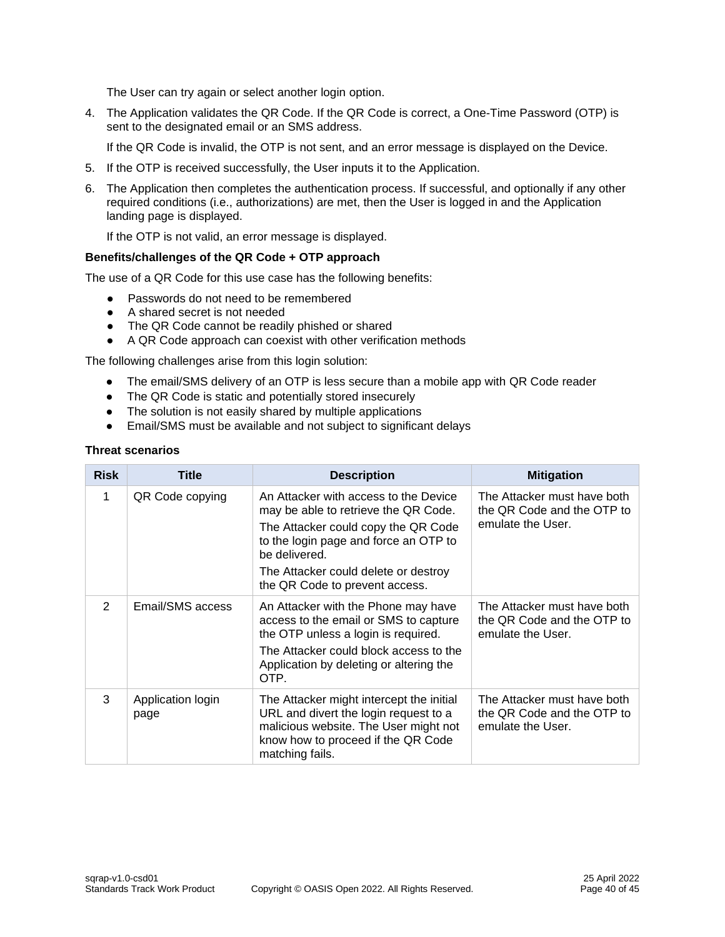The User can try again or select another login option.

4. The Application validates the QR Code. If the QR Code is correct, a One-Time Password (OTP) is sent to the designated email or an SMS address.

If the QR Code is invalid, the OTP is not sent, and an error message is displayed on the Device.

- 5. If the OTP is received successfully, the User inputs it to the Application.
- 6. The Application then completes the authentication process. If successful, and optionally if any other required conditions (i.e., authorizations) are met, then the User is logged in and the Application landing page is displayed.

If the OTP is not valid, an error message is displayed.

#### **Benefits/challenges of the QR Code + OTP approach**

The use of a QR Code for this use case has the following benefits:

- Passwords do not need to be remembered
- A shared secret is not needed
- The QR Code cannot be readily phished or shared
- A QR Code approach can coexist with other verification methods

The following challenges arise from this login solution:

- The email/SMS delivery of an OTP is less secure than a mobile app with QR Code reader
- The QR Code is static and potentially stored insecurely
- The solution is not easily shared by multiple applications
- Email/SMS must be available and not subject to significant delays

#### **Threat scenarios**

| <b>Risk</b>   | <b>Title</b>              | <b>Description</b>                                                                                                                                                                                                                                       | <b>Mitigation</b>                                                              |
|---------------|---------------------------|----------------------------------------------------------------------------------------------------------------------------------------------------------------------------------------------------------------------------------------------------------|--------------------------------------------------------------------------------|
| $\mathbf{1}$  | QR Code copying           | An Attacker with access to the Device<br>may be able to retrieve the QR Code.<br>The Attacker could copy the QR Code<br>to the login page and force an OTP to<br>be delivered.<br>The Attacker could delete or destroy<br>the QR Code to prevent access. | The Attacker must have both<br>the QR Code and the OTP to<br>emulate the User. |
| $\mathcal{P}$ | Email/SMS access          | An Attacker with the Phone may have<br>access to the email or SMS to capture<br>the OTP unless a login is required.<br>The Attacker could block access to the<br>Application by deleting or altering the<br>OTP.                                         | The Attacker must have both<br>the QR Code and the OTP to<br>emulate the User. |
| 3             | Application login<br>page | The Attacker might intercept the initial<br>URL and divert the login request to a<br>malicious website. The User might not<br>know how to proceed if the QR Code<br>matching fails.                                                                      | The Attacker must have both<br>the QR Code and the OTP to<br>emulate the User. |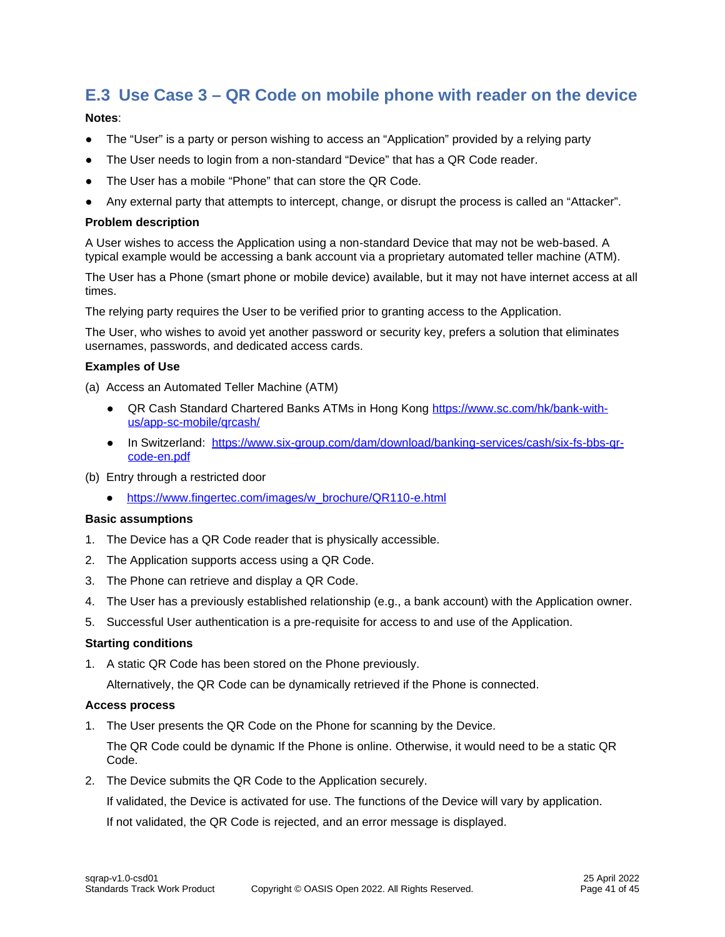# <span id="page-40-0"></span>**E.3 Use Case 3 – QR Code on mobile phone with reader on the device**

#### **Notes**:

- The "User" is a party or person wishing to access an "Application" provided by a relying party
- The User needs to login from a non-standard "Device" that has a QR Code reader.
- The User has a mobile "Phone" that can store the QR Code.
- Any external party that attempts to intercept, change, or disrupt the process is called an "Attacker".

#### **Problem description**

A User wishes to access the Application using a non-standard Device that may not be web-based. A typical example would be accessing a bank account via a proprietary automated teller machine (ATM).

The User has a Phone (smart phone or mobile device) available, but it may not have internet access at all times.

The relying party requires the User to be verified prior to granting access to the Application.

The User, who wishes to avoid yet another password or security key, prefers a solution that eliminates usernames, passwords, and dedicated access cards.

#### **Examples of Use**

(a) Access an Automated Teller Machine (ATM)

- QR Cash Standard Chartered Banks ATMs in Hong Kong [https://www.sc.com/hk/bank-with](https://www.sc.com/hk/bank-with-us/app-sc-mobile/qrcash/)[us/app-sc-mobile/qrcash/](https://www.sc.com/hk/bank-with-us/app-sc-mobile/qrcash/)
- In Switzerland: [https://www.six-group.com/dam/download/banking-services/cash/six-fs-bbs-qr](https://www.six-group.com/dam/download/banking-services/cash/six-fs-bbs-qr-code-en.pdf)[code-en.pdf](https://www.six-group.com/dam/download/banking-services/cash/six-fs-bbs-qr-code-en.pdf)
- (b) Entry through a restricted door
	- [https://www.fingertec.com/images/w\\_brochure/QR110-e.html](https://www.fingertec.com/images/w_brochure/QR110-e.html)

#### **Basic assumptions**

- 1. The Device has a QR Code reader that is physically accessible.
- 2. The Application supports access using a QR Code.
- 3. The Phone can retrieve and display a QR Code.
- 4. The User has a previously established relationship (e.g., a bank account) with the Application owner.
- 5. Successful User authentication is a pre-requisite for access to and use of the Application.

#### **Starting conditions**

1. A static QR Code has been stored on the Phone previously.

Alternatively, the QR Code can be dynamically retrieved if the Phone is connected.

#### **Access process**

1. The User presents the QR Code on the Phone for scanning by the Device.

The QR Code could be dynamic If the Phone is online. Otherwise, it would need to be a static QR Code.

2. The Device submits the QR Code to the Application securely.

If validated, the Device is activated for use. The functions of the Device will vary by application. If not validated, the QR Code is rejected, and an error message is displayed.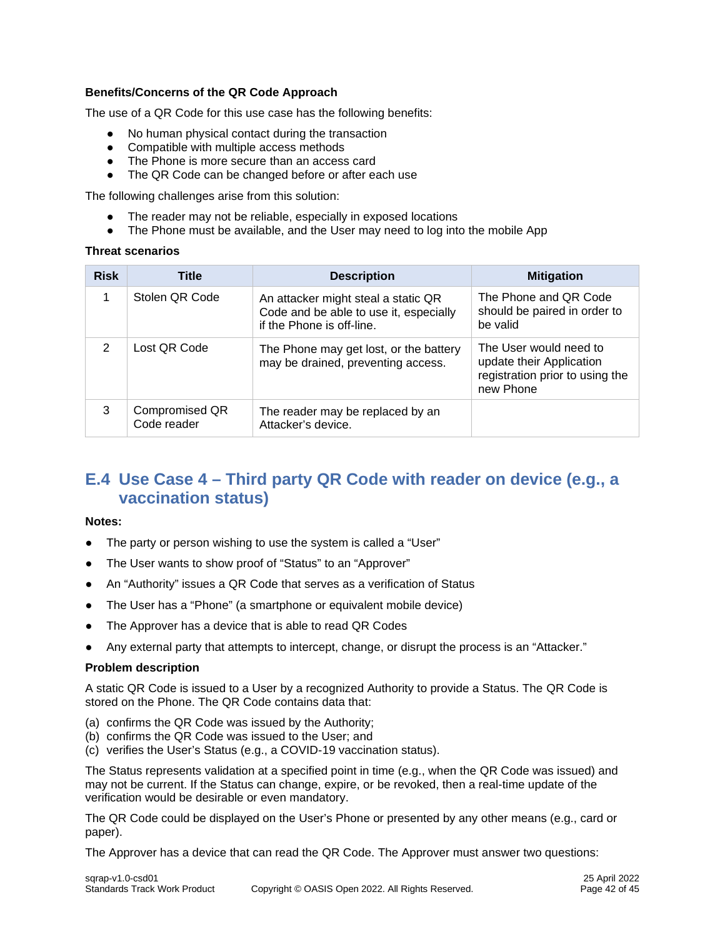#### **Benefits/Concerns of the QR Code Approach**

The use of a QR Code for this use case has the following benefits:

- No human physical contact during the transaction
- Compatible with multiple access methods
- The Phone is more secure than an access card
- The QR Code can be changed before or after each use

The following challenges arise from this solution:

- The reader may not be reliable, especially in exposed locations
- The Phone must be available, and the User may need to log into the mobile App

#### **Threat scenarios**

| <b>Risk</b> | Title                         | <b>Description</b>                                                                                         | <b>Mitigation</b>                                                                                  |
|-------------|-------------------------------|------------------------------------------------------------------------------------------------------------|----------------------------------------------------------------------------------------------------|
| 1           | Stolen QR Code                | An attacker might steal a static QR<br>Code and be able to use it, especially<br>if the Phone is off-line. | The Phone and QR Code<br>should be paired in order to<br>be valid                                  |
| 2           | Lost QR Code                  | The Phone may get lost, or the battery<br>may be drained, preventing access.                               | The User would need to<br>update their Application<br>registration prior to using the<br>new Phone |
| 3           | Compromised QR<br>Code reader | The reader may be replaced by an<br>Attacker's device.                                                     |                                                                                                    |

# <span id="page-41-0"></span>**E.4 Use Case 4 – Third party QR Code with reader on device (e.g., a vaccination status)**

#### **Notes:**

- The party or person wishing to use the system is called a "User"
- The User wants to show proof of "Status" to an "Approver"
- An "Authority" issues a QR Code that serves as a verification of Status
- The User has a "Phone" (a smartphone or equivalent mobile device)
- The Approver has a device that is able to read QR Codes
- Any external party that attempts to intercept, change, or disrupt the process is an "Attacker."

#### **Problem description**

A static QR Code is issued to a User by a recognized Authority to provide a Status. The QR Code is stored on the Phone. The QR Code contains data that:

- (a) confirms the QR Code was issued by the Authority;
- (b) confirms the QR Code was issued to the User; and
- (c) verifies the User's Status (e.g., a COVID-19 vaccination status).

The Status represents validation at a specified point in time (e.g., when the QR Code was issued) and may not be current. If the Status can change, expire, or be revoked, then a real-time update of the verification would be desirable or even mandatory.

The QR Code could be displayed on the User's Phone or presented by any other means (e.g., card or paper).

The Approver has a device that can read the QR Code. The Approver must answer two questions: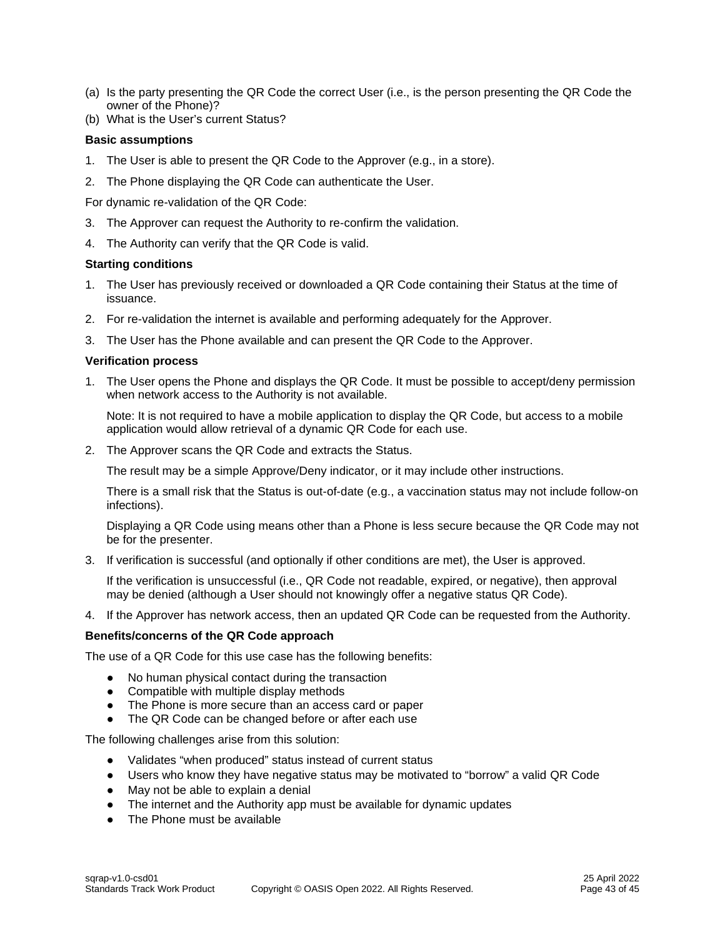- (a) Is the party presenting the QR Code the correct User (i.e., is the person presenting the QR Code the owner of the Phone)?
- (b) What is the User's current Status?

#### **Basic assumptions**

- 1. The User is able to present the QR Code to the Approver (e.g., in a store).
- 2. The Phone displaying the QR Code can authenticate the User.

For dynamic re-validation of the QR Code:

- 3. The Approver can request the Authority to re-confirm the validation.
- 4. The Authority can verify that the QR Code is valid.

#### **Starting conditions**

- 1. The User has previously received or downloaded a QR Code containing their Status at the time of issuance.
- 2. For re-validation the internet is available and performing adequately for the Approver.
- 3. The User has the Phone available and can present the QR Code to the Approver.

#### **Verification process**

1. The User opens the Phone and displays the QR Code. It must be possible to accept/deny permission when network access to the Authority is not available.

Note: It is not required to have a mobile application to display the QR Code, but access to a mobile application would allow retrieval of a dynamic QR Code for each use.

2. The Approver scans the QR Code and extracts the Status.

The result may be a simple Approve/Deny indicator, or it may include other instructions.

There is a small risk that the Status is out-of-date (e.g., a vaccination status may not include follow-on infections).

Displaying a QR Code using means other than a Phone is less secure because the QR Code may not be for the presenter.

3. If verification is successful (and optionally if other conditions are met), the User is approved.

If the verification is unsuccessful (i.e., QR Code not readable, expired, or negative), then approval may be denied (although a User should not knowingly offer a negative status QR Code).

4. If the Approver has network access, then an updated QR Code can be requested from the Authority.

#### **Benefits/concerns of the QR Code approach**

The use of a QR Code for this use case has the following benefits:

- No human physical contact during the transaction
- Compatible with multiple display methods
- The Phone is more secure than an access card or paper
- The QR Code can be changed before or after each use

The following challenges arise from this solution:

- Validates "when produced" status instead of current status
- Users who know they have negative status may be motivated to "borrow" a valid QR Code
- May not be able to explain a denial
- The internet and the Authority app must be available for dynamic updates
- The Phone must be available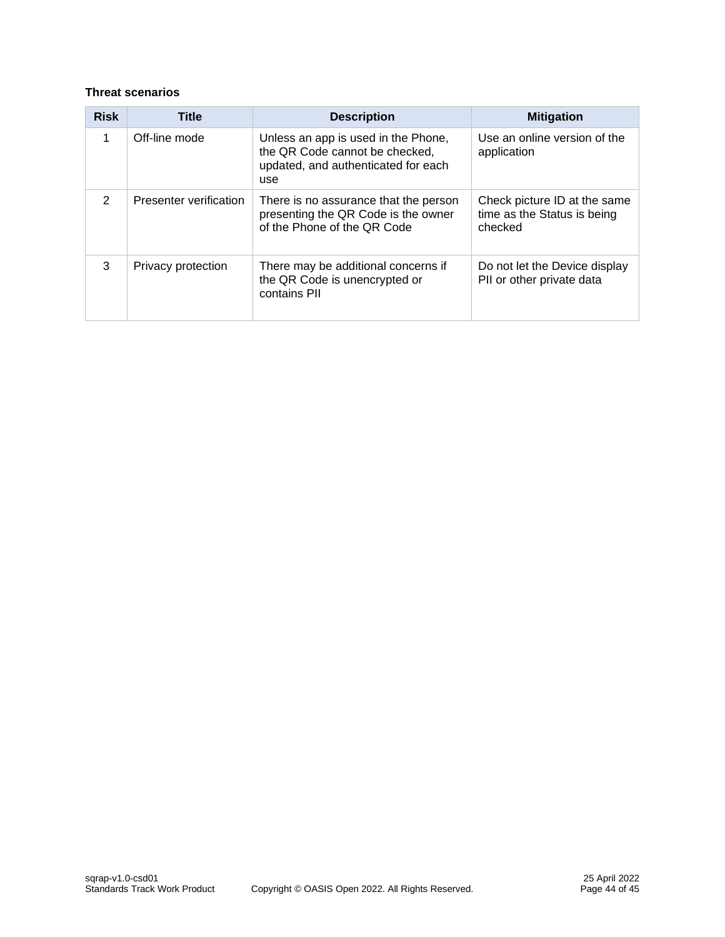#### **Threat scenarios**

| <b>Risk</b>   | <b>Title</b>           | <b>Description</b>                                                                                                  | <b>Mitigation</b>                                                      |
|---------------|------------------------|---------------------------------------------------------------------------------------------------------------------|------------------------------------------------------------------------|
| 1             | Off-line mode          | Unless an app is used in the Phone,<br>the QR Code cannot be checked,<br>updated, and authenticated for each<br>use | Use an online version of the<br>application                            |
| $\mathcal{P}$ | Presenter verification | There is no assurance that the person<br>presenting the QR Code is the owner<br>of the Phone of the QR Code         | Check picture ID at the same<br>time as the Status is being<br>checked |
| 3             | Privacy protection     | There may be additional concerns if<br>the QR Code is unencrypted or<br>contains PII                                | Do not let the Device display<br>PII or other private data             |